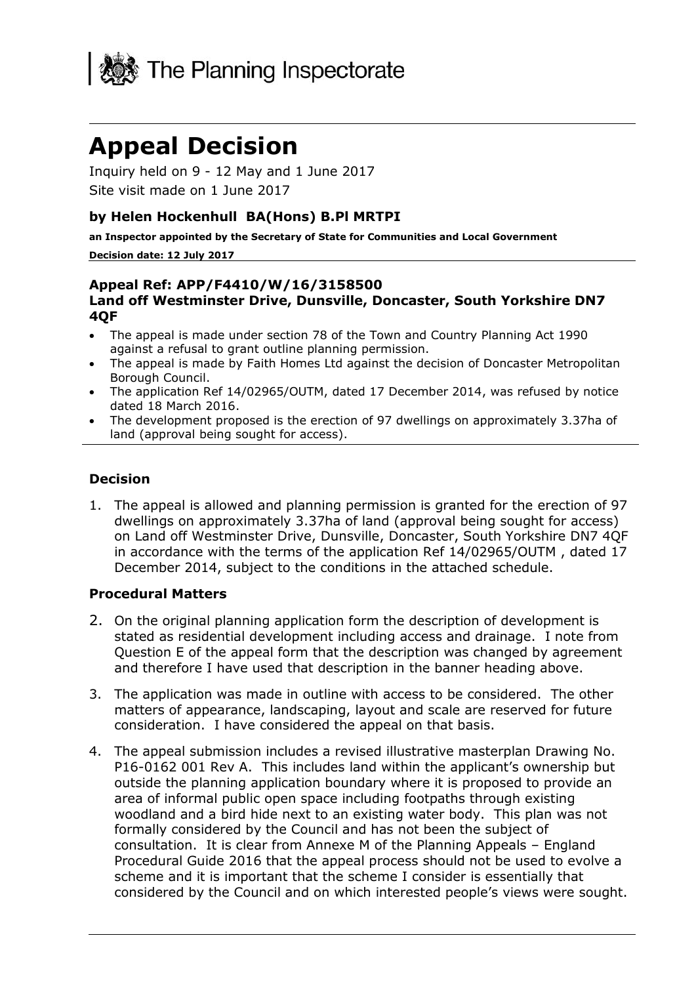

# **Appeal Decision**

Inquiry held on 9 - 12 May and 1 June 2017 Site visit made on 1 June 2017

#### **by Helen Hockenhull BA(Hons) B.Pl MRTPI**

**an Inspector appointed by the Secretary of State for Communities and Local Government**

#### **Decision date: 12 July 2017**

#### **Appeal Ref: APP/F4410/W/16/3158500 Land off Westminster Drive, Dunsville, Doncaster, South Yorkshire DN7 4QF**

- The appeal is made under section 78 of the Town and Country Planning Act 1990 against a refusal to grant outline planning permission.
- The appeal is made by Faith Homes Ltd against the decision of Doncaster Metropolitan Borough Council.
- The application Ref 14/02965/OUTM, dated 17 December 2014, was refused by notice dated 18 March 2016.
- The development proposed is the erection of 97 dwellings on approximately 3.37ha of land (approval being sought for access).

#### **Decision**

1. The appeal is allowed and planning permission is granted for the erection of 97 dwellings on approximately 3.37ha of land (approval being sought for access) on Land off Westminster Drive, Dunsville, Doncaster, South Yorkshire DN7 4QF in accordance with the terms of the application Ref 14/02965/OUTM , dated 17 December 2014, subject to the conditions in the attached schedule.

#### **Procedural Matters**

- 2. On the original planning application form the description of development is stated as residential development including access and drainage. I note from Question E of the appeal form that the description was changed by agreement and therefore I have used that description in the banner heading above.
- 3. The application was made in outline with access to be considered. The other matters of appearance, landscaping, layout and scale are reserved for future consideration. I have considered the appeal on that basis.
- 4. The appeal submission includes a revised illustrative masterplan Drawing No. P16-0162 001 Rev A. This includes land within the applicant's ownership but outside the planning application boundary where it is proposed to provide an area of informal public open space including footpaths through existing woodland and a bird hide next to an existing water body. This plan was not formally considered by the Council and has not been the subject of consultation. It is clear from Annexe M of the Planning Appeals – England Procedural Guide 2016 that the appeal process should not be used to evolve a scheme and it is important that the scheme I consider is essentially that considered by the Council and on which interested people's views were sought.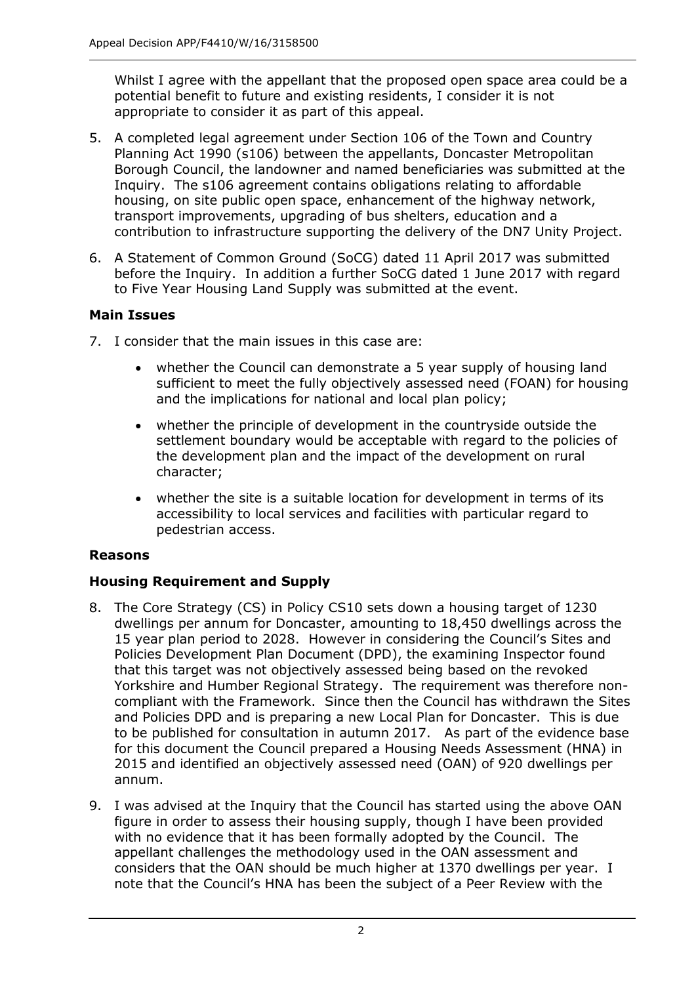Whilst I agree with the appellant that the proposed open space area could be a potential benefit to future and existing residents, I consider it is not appropriate to consider it as part of this appeal.

- 5. A completed legal agreement under Section 106 of the Town and Country Planning Act 1990 (s106) between the appellants, Doncaster Metropolitan Borough Council, the landowner and named beneficiaries was submitted at the Inquiry. The s106 agreement contains obligations relating to affordable housing, on site public open space, enhancement of the highway network, transport improvements, upgrading of bus shelters, education and a contribution to infrastructure supporting the delivery of the DN7 Unity Project.
- 6. A Statement of Common Ground (SoCG) dated 11 April 2017 was submitted before the Inquiry. In addition a further SoCG dated 1 June 2017 with regard to Five Year Housing Land Supply was submitted at the event.

#### **Main Issues**

- 7. I consider that the main issues in this case are:
	- whether the Council can demonstrate a 5 year supply of housing land sufficient to meet the fully objectively assessed need (FOAN) for housing and the implications for national and local plan policy;
	- whether the principle of development in the countryside outside the settlement boundary would be acceptable with regard to the policies of the development plan and the impact of the development on rural character;
	- whether the site is a suitable location for development in terms of its accessibility to local services and facilities with particular regard to pedestrian access.

#### **Reasons**

# **Housing Requirement and Supply**

- 8. The Core Strategy (CS) in Policy CS10 sets down a housing target of 1230 dwellings per annum for Doncaster, amounting to 18,450 dwellings across the 15 year plan period to 2028. However in considering the Council's Sites and Policies Development Plan Document (DPD), the examining Inspector found that this target was not objectively assessed being based on the revoked Yorkshire and Humber Regional Strategy. The requirement was therefore noncompliant with the Framework. Since then the Council has withdrawn the Sites and Policies DPD and is preparing a new Local Plan for Doncaster. This is due to be published for consultation in autumn 2017. As part of the evidence base for this document the Council prepared a Housing Needs Assessment (HNA) in 2015 and identified an objectively assessed need (OAN) of 920 dwellings per annum.
- 9. I was advised at the Inquiry that the Council has started using the above OAN figure in order to assess their housing supply, though I have been provided with no evidence that it has been formally adopted by the Council. The appellant challenges the methodology used in the OAN assessment and considers that the OAN should be much higher at 1370 dwellings per year. I note that the Council's HNA has been the subject of a Peer Review with the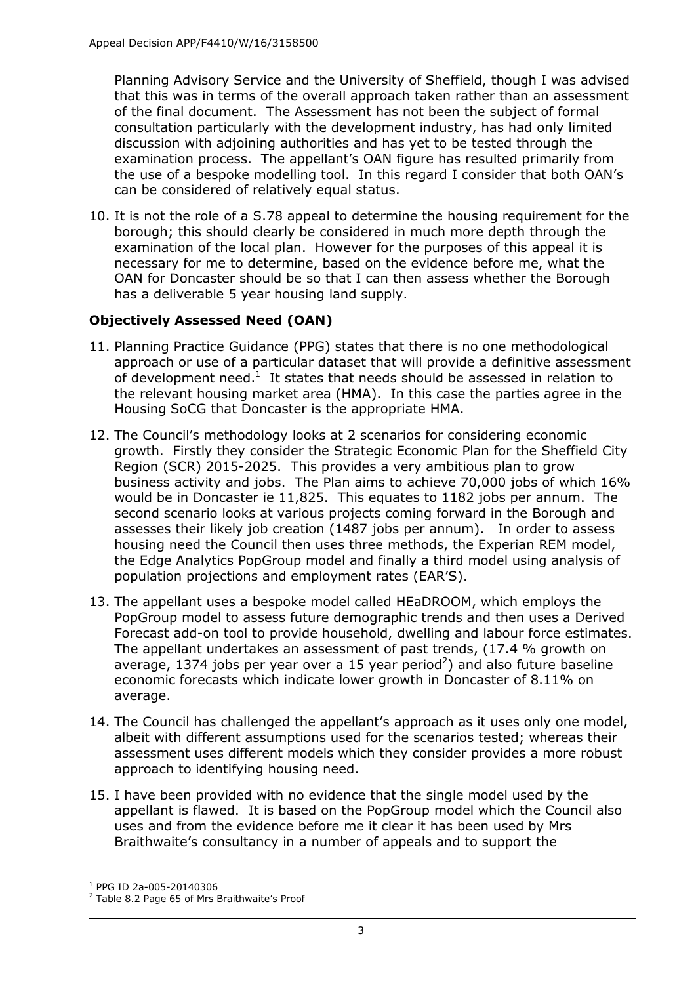Planning Advisory Service and the University of Sheffield, though I was advised that this was in terms of the overall approach taken rather than an assessment of the final document. The Assessment has not been the subject of formal consultation particularly with the development industry, has had only limited discussion with adjoining authorities and has yet to be tested through the examination process. The appellant's OAN figure has resulted primarily from the use of a bespoke modelling tool. In this regard I consider that both OAN's can be considered of relatively equal status.

10. It is not the role of a S.78 appeal to determine the housing requirement for the borough; this should clearly be considered in much more depth through the examination of the local plan. However for the purposes of this appeal it is necessary for me to determine, based on the evidence before me, what the OAN for Doncaster should be so that I can then assess whether the Borough has a deliverable 5 year housing land supply.

# **Objectively Assessed Need (OAN)**

- 11. Planning Practice Guidance (PPG) states that there is no one methodological approach or use of a particular dataset that will provide a definitive assessment of development need. $<sup>1</sup>$  It states that needs should be assessed in relation to</sup> the relevant housing market area (HMA). In this case the parties agree in the Housing SoCG that Doncaster is the appropriate HMA.
- 12. The Council's methodology looks at 2 scenarios for considering economic growth. Firstly they consider the Strategic Economic Plan for the Sheffield City Region (SCR) 2015-2025. This provides a very ambitious plan to grow business activity and jobs. The Plan aims to achieve 70,000 jobs of which 16% would be in Doncaster ie 11,825. This equates to 1182 jobs per annum. The second scenario looks at various projects coming forward in the Borough and assesses their likely job creation (1487 jobs per annum). In order to assess housing need the Council then uses three methods, the Experian REM model, the Edge Analytics PopGroup model and finally a third model using analysis of population projections and employment rates (EAR'S).
- 13. The appellant uses a bespoke model called HEaDROOM, which employs the PopGroup model to assess future demographic trends and then uses a Derived Forecast add-on tool to provide household, dwelling and labour force estimates. The appellant undertakes an assessment of past trends, (17.4 % growth on average, 1374 jobs per year over a 15 year period<sup>2</sup>) and also future baseline economic forecasts which indicate lower growth in Doncaster of 8.11% on average.
- 14. The Council has challenged the appellant's approach as it uses only one model, albeit with different assumptions used for the scenarios tested; whereas their assessment uses different models which they consider provides a more robust approach to identifying housing need.
- 15. I have been provided with no evidence that the single model used by the appellant is flawed. It is based on the PopGroup model which the Council also uses and from the evidence before me it clear it has been used by Mrs Braithwaite's consultancy in a number of appeals and to support the

j <sup>1</sup> PPG ID 2a-005-20140306

 $2$  Table 8.2 Page 65 of Mrs Braithwaite's Proof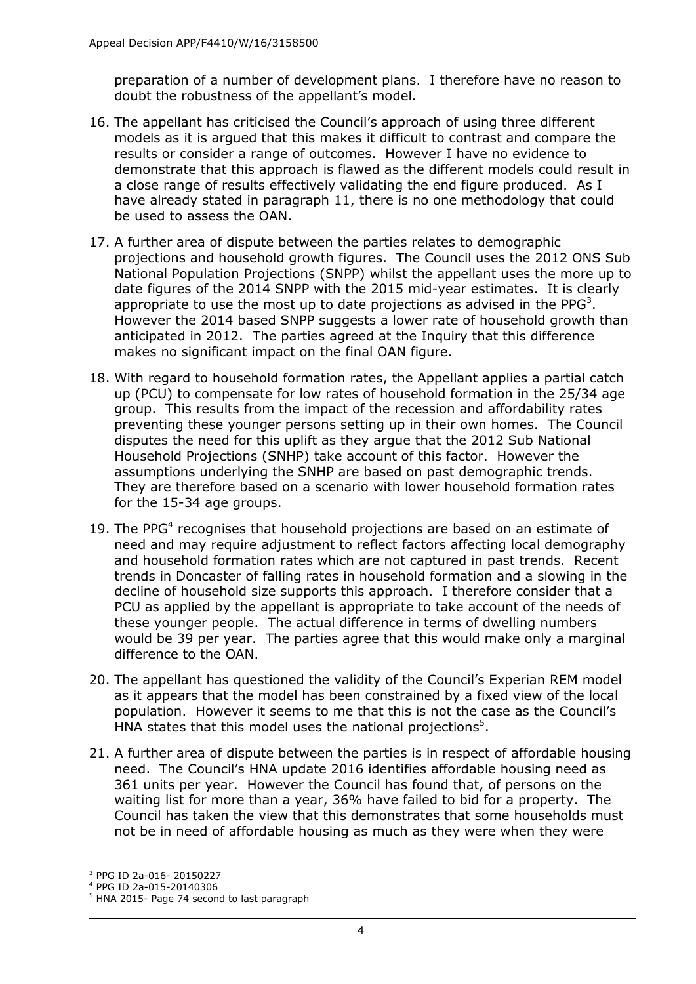preparation of a number of development plans. I therefore have no reason to doubt the robustness of the appellant's model.

- 16. The appellant has criticised the Council's approach of using three different models as it is argued that this makes it difficult to contrast and compare the results or consider a range of outcomes. However I have no evidence to demonstrate that this approach is flawed as the different models could result in a close range of results effectively validating the end figure produced. As I have already stated in paragraph 11, there is no one methodology that could be used to assess the OAN.
- 17. A further area of dispute between the parties relates to demographic projections and household growth figures. The Council uses the 2012 ONS Sub National Population Projections (SNPP) whilst the appellant uses the more up to date figures of the 2014 SNPP with the 2015 mid-year estimates. It is clearly appropriate to use the most up to date projections as advised in the PPG<sup>3</sup>. However the 2014 based SNPP suggests a lower rate of household growth than anticipated in 2012. The parties agreed at the Inquiry that this difference makes no significant impact on the final OAN figure.
- 18. With regard to household formation rates, the Appellant applies a partial catch up (PCU) to compensate for low rates of household formation in the 25/34 age group. This results from the impact of the recession and affordability rates preventing these younger persons setting up in their own homes. The Council disputes the need for this uplift as they argue that the 2012 Sub National Household Projections (SNHP) take account of this factor. However the assumptions underlying the SNHP are based on past demographic trends. They are therefore based on a scenario with lower household formation rates for the 15-34 age groups.
- 19. The PPG<sup>4</sup> recognises that household projections are based on an estimate of need and may require adjustment to reflect factors affecting local demography and household formation rates which are not captured in past trends. Recent trends in Doncaster of falling rates in household formation and a slowing in the decline of household size supports this approach. I therefore consider that a PCU as applied by the appellant is appropriate to take account of the needs of these younger people. The actual difference in terms of dwelling numbers would be 39 per year. The parties agree that this would make only a marginal difference to the OAN.
- 20. The appellant has questioned the validity of the Council's Experian REM model as it appears that the model has been constrained by a fixed view of the local population. However it seems to me that this is not the case as the Council's HNA states that this model uses the national projections $5$ .
- 21. A further area of dispute between the parties is in respect of affordable housing need. The Council's HNA update 2016 identifies affordable housing need as 361 units per year. However the Council has found that, of persons on the waiting list for more than a year, 36% have failed to bid for a property. The Council has taken the view that this demonstrates that some households must not be in need of affordable housing as much as they were when they were

j <sup>3</sup> PPG ID 2a-016- 20150227

<sup>4</sup> PPG ID 2a-015-20140306

<sup>&</sup>lt;sup>5</sup> HNA 2015- Page 74 second to last paragraph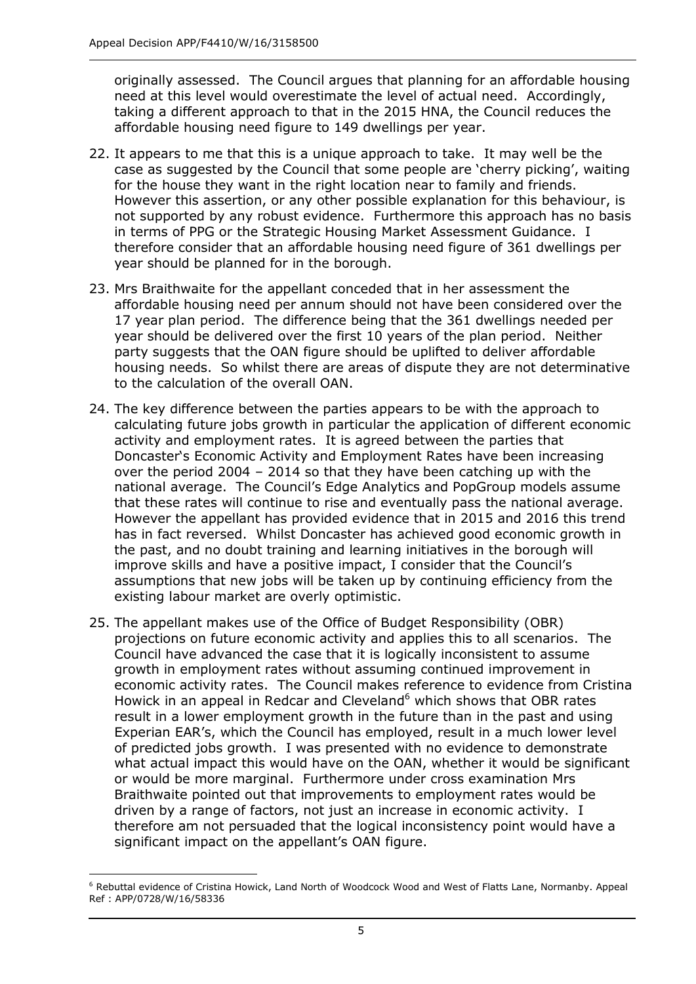originally assessed. The Council argues that planning for an affordable housing need at this level would overestimate the level of actual need. Accordingly, taking a different approach to that in the 2015 HNA, the Council reduces the affordable housing need figure to 149 dwellings per year.

- 22. It appears to me that this is a unique approach to take. It may well be the case as suggested by the Council that some people are 'cherry picking', waiting for the house they want in the right location near to family and friends. However this assertion, or any other possible explanation for this behaviour, is not supported by any robust evidence. Furthermore this approach has no basis in terms of PPG or the Strategic Housing Market Assessment Guidance. I therefore consider that an affordable housing need figure of 361 dwellings per year should be planned for in the borough.
- 23. Mrs Braithwaite for the appellant conceded that in her assessment the affordable housing need per annum should not have been considered over the 17 year plan period. The difference being that the 361 dwellings needed per year should be delivered over the first 10 years of the plan period. Neither party suggests that the OAN figure should be uplifted to deliver affordable housing needs. So whilst there are areas of dispute they are not determinative to the calculation of the overall OAN.
- 24. The key difference between the parties appears to be with the approach to calculating future jobs growth in particular the application of different economic activity and employment rates. It is agreed between the parties that Doncaster's Economic Activity and Employment Rates have been increasing over the period 2004 – 2014 so that they have been catching up with the national average. The Council's Edge Analytics and PopGroup models assume that these rates will continue to rise and eventually pass the national average. However the appellant has provided evidence that in 2015 and 2016 this trend has in fact reversed. Whilst Doncaster has achieved good economic growth in the past, and no doubt training and learning initiatives in the borough will improve skills and have a positive impact, I consider that the Council's assumptions that new jobs will be taken up by continuing efficiency from the existing labour market are overly optimistic.
- 25. The appellant makes use of the Office of Budget Responsibility (OBR) projections on future economic activity and applies this to all scenarios. The Council have advanced the case that it is logically inconsistent to assume growth in employment rates without assuming continued improvement in economic activity rates. The Council makes reference to evidence from Cristina Howick in an appeal in Redcar and Cleveland<sup>6</sup> which shows that OBR rates result in a lower employment growth in the future than in the past and using Experian EAR's, which the Council has employed, result in a much lower level of predicted jobs growth. I was presented with no evidence to demonstrate what actual impact this would have on the OAN, whether it would be significant or would be more marginal. Furthermore under cross examination Mrs Braithwaite pointed out that improvements to employment rates would be driven by a range of factors, not just an increase in economic activity. I therefore am not persuaded that the logical inconsistency point would have a significant impact on the appellant's OAN figure.

j <sup>6</sup> Rebuttal evidence of Cristina Howick, Land North of Woodcock Wood and West of Flatts Lane, Normanby. Appeal Ref : APP/0728/W/16/58336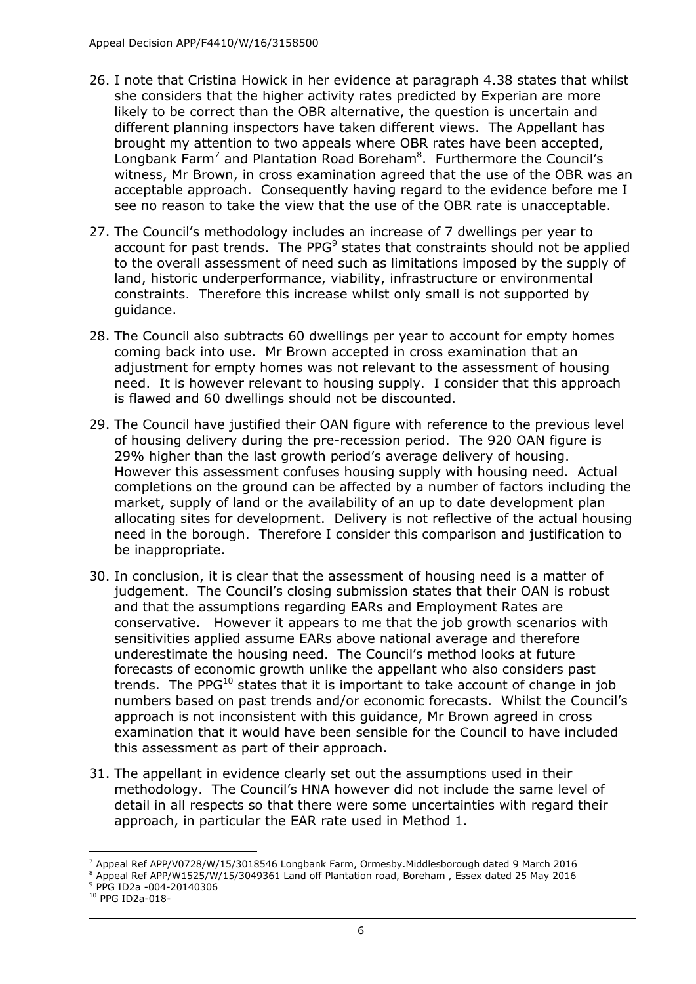- 26. I note that Cristina Howick in her evidence at paragraph 4.38 states that whilst she considers that the higher activity rates predicted by Experian are more likely to be correct than the OBR alternative, the question is uncertain and different planning inspectors have taken different views. The Appellant has brought my attention to two appeals where OBR rates have been accepted, Longbank Farm<sup>7</sup> and Plantation Road Boreham<sup>8</sup>. Furthermore the Council's witness, Mr Brown, in cross examination agreed that the use of the OBR was an acceptable approach. Consequently having regard to the evidence before me I see no reason to take the view that the use of the OBR rate is unacceptable.
- 27. The Council's methodology includes an increase of 7 dwellings per year to account for past trends. The PPG $9$  states that constraints should not be applied to the overall assessment of need such as limitations imposed by the supply of land, historic underperformance, viability, infrastructure or environmental constraints. Therefore this increase whilst only small is not supported by guidance.
- 28. The Council also subtracts 60 dwellings per year to account for empty homes coming back into use. Mr Brown accepted in cross examination that an adjustment for empty homes was not relevant to the assessment of housing need. It is however relevant to housing supply. I consider that this approach is flawed and 60 dwellings should not be discounted.
- 29. The Council have justified their OAN figure with reference to the previous level of housing delivery during the pre-recession period. The 920 OAN figure is 29% higher than the last growth period's average delivery of housing. However this assessment confuses housing supply with housing need. Actual completions on the ground can be affected by a number of factors including the market, supply of land or the availability of an up to date development plan allocating sites for development. Delivery is not reflective of the actual housing need in the borough. Therefore I consider this comparison and justification to be inappropriate.
- 30. In conclusion, it is clear that the assessment of housing need is a matter of judgement. The Council's closing submission states that their OAN is robust and that the assumptions regarding EARs and Employment Rates are conservative. However it appears to me that the job growth scenarios with sensitivities applied assume EARs above national average and therefore underestimate the housing need. The Council's method looks at future forecasts of economic growth unlike the appellant who also considers past trends. The PPG $^{10}$  states that it is important to take account of change in job numbers based on past trends and/or economic forecasts. Whilst the Council's approach is not inconsistent with this guidance, Mr Brown agreed in cross examination that it would have been sensible for the Council to have included this assessment as part of their approach.
- 31. The appellant in evidence clearly set out the assumptions used in their methodology. The Council's HNA however did not include the same level of detail in all respects so that there were some uncertainties with regard their approach, in particular the EAR rate used in Method 1.

j <sup>7</sup> Appeal Ref APP/V0728/W/15/3018546 Longbank Farm, Ormesby.Middlesborough dated 9 March 2016

<sup>8</sup> Appeal Ref APP/W1525/W/15/3049361 Land off Plantation road, Boreham , Essex dated 25 May 2016 <sup>9</sup> PPG ID2a -004-20140306

<sup>10</sup> PPG ID2a-018-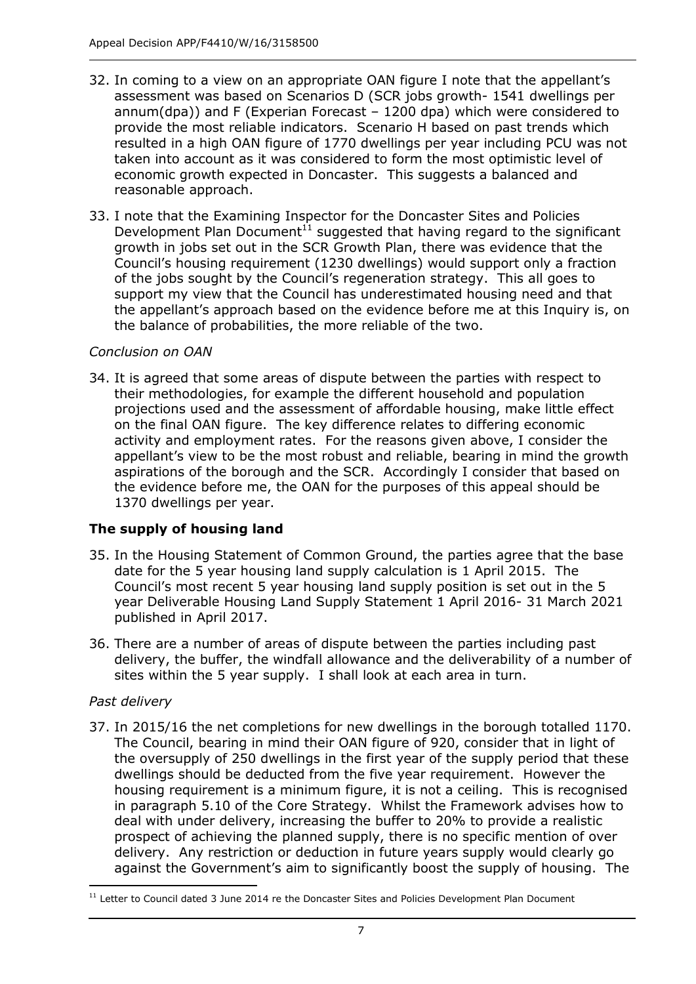- 32. In coming to a view on an appropriate OAN figure I note that the appellant's assessment was based on Scenarios D (SCR jobs growth- 1541 dwellings per annum(dpa)) and F (Experian Forecast – 1200 dpa) which were considered to provide the most reliable indicators. Scenario H based on past trends which resulted in a high OAN figure of 1770 dwellings per year including PCU was not taken into account as it was considered to form the most optimistic level of economic growth expected in Doncaster. This suggests a balanced and reasonable approach.
- 33. I note that the Examining Inspector for the Doncaster Sites and Policies Development Plan Document<sup>11</sup> suggested that having regard to the significant growth in jobs set out in the SCR Growth Plan, there was evidence that the Council's housing requirement (1230 dwellings) would support only a fraction of the jobs sought by the Council's regeneration strategy. This all goes to support my view that the Council has underestimated housing need and that the appellant's approach based on the evidence before me at this Inquiry is, on the balance of probabilities, the more reliable of the two.

#### *Conclusion on OAN*

34. It is agreed that some areas of dispute between the parties with respect to their methodologies, for example the different household and population projections used and the assessment of affordable housing, make little effect on the final OAN figure. The key difference relates to differing economic activity and employment rates. For the reasons given above, I consider the appellant's view to be the most robust and reliable, bearing in mind the growth aspirations of the borough and the SCR. Accordingly I consider that based on the evidence before me, the OAN for the purposes of this appeal should be 1370 dwellings per year.

# **The supply of housing land**

- 35. In the Housing Statement of Common Ground, the parties agree that the base date for the 5 year housing land supply calculation is 1 April 2015. The Council's most recent 5 year housing land supply position is set out in the 5 year Deliverable Housing Land Supply Statement 1 April 2016- 31 March 2021 published in April 2017.
- 36. There are a number of areas of dispute between the parties including past delivery, the buffer, the windfall allowance and the deliverability of a number of sites within the 5 year supply. I shall look at each area in turn.

#### *Past delivery*

37. In 2015/16 the net completions for new dwellings in the borough totalled 1170. The Council, bearing in mind their OAN figure of 920, consider that in light of the oversupply of 250 dwellings in the first year of the supply period that these dwellings should be deducted from the five year requirement. However the housing requirement is a minimum figure, it is not a ceiling. This is recognised in paragraph 5.10 of the Core Strategy. Whilst the Framework advises how to deal with under delivery, increasing the buffer to 20% to provide a realistic prospect of achieving the planned supply, there is no specific mention of over delivery. Any restriction or deduction in future years supply would clearly go against the Government's aim to significantly boost the supply of housing. The

<sup>-</sup><sup>11</sup> Letter to Council dated 3 June 2014 re the Doncaster Sites and Policies Development Plan Document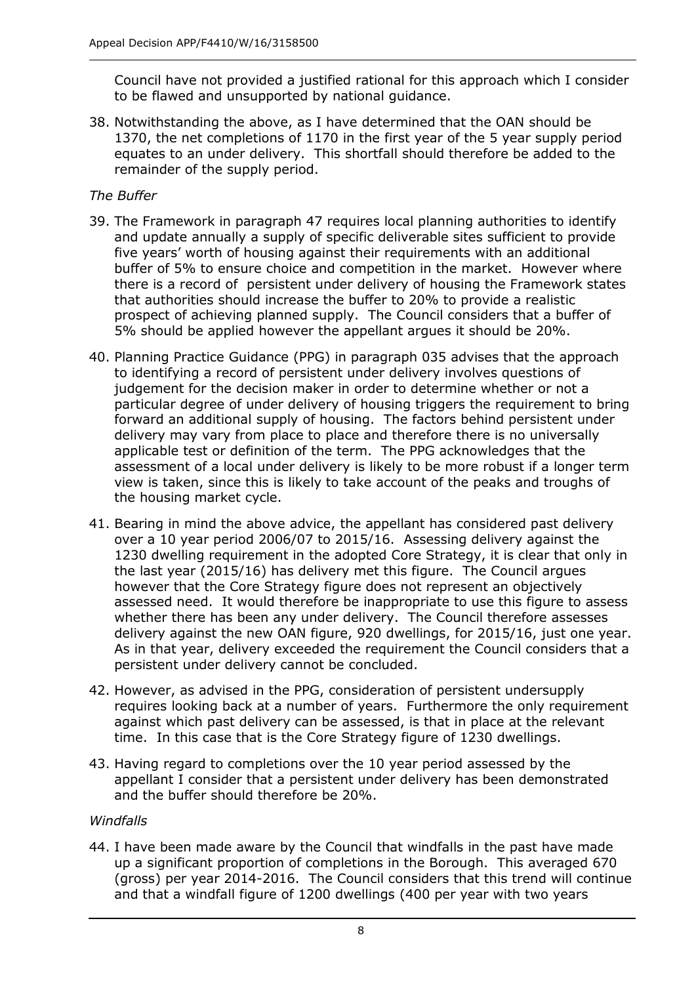Council have not provided a justified rational for this approach which I consider to be flawed and unsupported by national guidance.

38. Notwithstanding the above, as I have determined that the OAN should be 1370, the net completions of 1170 in the first year of the 5 year supply period equates to an under delivery. This shortfall should therefore be added to the remainder of the supply period.

### *The Buffer*

- 39. The Framework in paragraph 47 requires local planning authorities to identify and update annually a supply of specific deliverable sites sufficient to provide five years' worth of housing against their requirements with an additional buffer of 5% to ensure choice and competition in the market. However where there is a record of persistent under delivery of housing the Framework states that authorities should increase the buffer to 20% to provide a realistic prospect of achieving planned supply. The Council considers that a buffer of 5% should be applied however the appellant argues it should be 20%.
- 40. Planning Practice Guidance (PPG) in paragraph 035 advises that the approach to identifying a record of persistent under delivery involves questions of judgement for the decision maker in order to determine whether or not a particular degree of under delivery of housing triggers the requirement to bring forward an additional supply of housing. The factors behind persistent under delivery may vary from place to place and therefore there is no universally applicable test or definition of the term. The PPG acknowledges that the assessment of a local under delivery is likely to be more robust if a longer term view is taken, since this is likely to take account of the peaks and troughs of the housing market cycle.
- 41. Bearing in mind the above advice, the appellant has considered past delivery over a 10 year period 2006/07 to 2015/16. Assessing delivery against the 1230 dwelling requirement in the adopted Core Strategy, it is clear that only in the last year (2015/16) has delivery met this figure. The Council argues however that the Core Strategy figure does not represent an objectively assessed need. It would therefore be inappropriate to use this figure to assess whether there has been any under delivery. The Council therefore assesses delivery against the new OAN figure, 920 dwellings, for 2015/16, just one year. As in that year, delivery exceeded the requirement the Council considers that a persistent under delivery cannot be concluded.
- 42. However, as advised in the PPG, consideration of persistent undersupply requires looking back at a number of years. Furthermore the only requirement against which past delivery can be assessed, is that in place at the relevant time. In this case that is the Core Strategy figure of 1230 dwellings.
- 43. Having regard to completions over the 10 year period assessed by the appellant I consider that a persistent under delivery has been demonstrated and the buffer should therefore be 20%.

#### *Windfalls*

44. I have been made aware by the Council that windfalls in the past have made up a significant proportion of completions in the Borough. This averaged 670 (gross) per year 2014-2016. The Council considers that this trend will continue and that a windfall figure of 1200 dwellings (400 per year with two years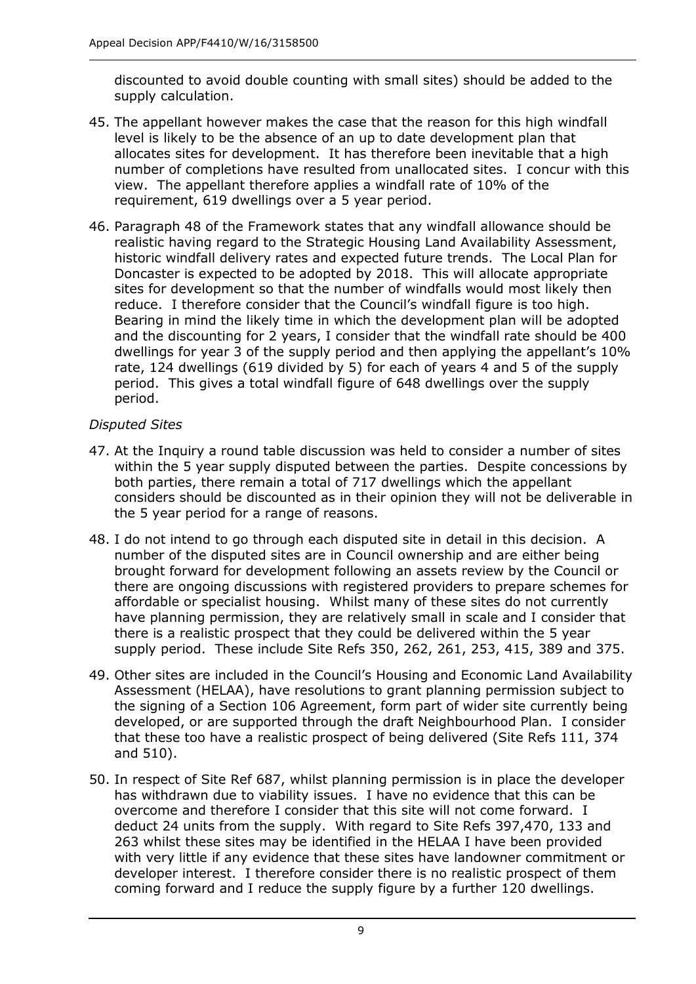discounted to avoid double counting with small sites) should be added to the supply calculation.

- 45. The appellant however makes the case that the reason for this high windfall level is likely to be the absence of an up to date development plan that allocates sites for development. It has therefore been inevitable that a high number of completions have resulted from unallocated sites. I concur with this view. The appellant therefore applies a windfall rate of 10% of the requirement, 619 dwellings over a 5 year period.
- 46. Paragraph 48 of the Framework states that any windfall allowance should be realistic having regard to the Strategic Housing Land Availability Assessment, historic windfall delivery rates and expected future trends. The Local Plan for Doncaster is expected to be adopted by 2018. This will allocate appropriate sites for development so that the number of windfalls would most likely then reduce. I therefore consider that the Council's windfall figure is too high. Bearing in mind the likely time in which the development plan will be adopted and the discounting for 2 years, I consider that the windfall rate should be 400 dwellings for year 3 of the supply period and then applying the appellant's 10% rate, 124 dwellings (619 divided by 5) for each of years 4 and 5 of the supply period. This gives a total windfall figure of 648 dwellings over the supply period.

#### *Disputed Sites*

- 47. At the Inquiry a round table discussion was held to consider a number of sites within the 5 year supply disputed between the parties. Despite concessions by both parties, there remain a total of 717 dwellings which the appellant considers should be discounted as in their opinion they will not be deliverable in the 5 year period for a range of reasons.
- 48. I do not intend to go through each disputed site in detail in this decision. A number of the disputed sites are in Council ownership and are either being brought forward for development following an assets review by the Council or there are ongoing discussions with registered providers to prepare schemes for affordable or specialist housing. Whilst many of these sites do not currently have planning permission, they are relatively small in scale and I consider that there is a realistic prospect that they could be delivered within the 5 year supply period. These include Site Refs 350, 262, 261, 253, 415, 389 and 375.
- 49. Other sites are included in the Council's Housing and Economic Land Availability Assessment (HELAA), have resolutions to grant planning permission subject to the signing of a Section 106 Agreement, form part of wider site currently being developed, or are supported through the draft Neighbourhood Plan. I consider that these too have a realistic prospect of being delivered (Site Refs 111, 374 and 510).
- 50. In respect of Site Ref 687, whilst planning permission is in place the developer has withdrawn due to viability issues. I have no evidence that this can be overcome and therefore I consider that this site will not come forward. I deduct 24 units from the supply. With regard to Site Refs 397,470, 133 and 263 whilst these sites may be identified in the HELAA I have been provided with very little if any evidence that these sites have landowner commitment or developer interest. I therefore consider there is no realistic prospect of them coming forward and I reduce the supply figure by a further 120 dwellings.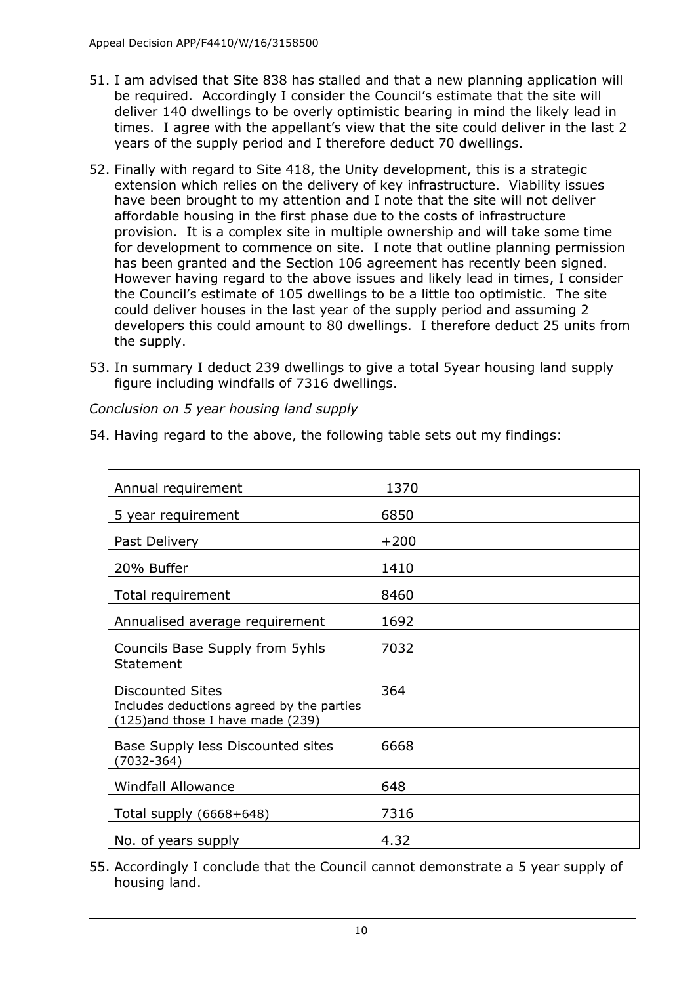- 51. I am advised that Site 838 has stalled and that a new planning application will be required. Accordingly I consider the Council's estimate that the site will deliver 140 dwellings to be overly optimistic bearing in mind the likely lead in times. I agree with the appellant's view that the site could deliver in the last 2 years of the supply period and I therefore deduct 70 dwellings.
- 52. Finally with regard to Site 418, the Unity development, this is a strategic extension which relies on the delivery of key infrastructure. Viability issues have been brought to my attention and I note that the site will not deliver affordable housing in the first phase due to the costs of infrastructure provision. It is a complex site in multiple ownership and will take some time for development to commence on site. I note that outline planning permission has been granted and the Section 106 agreement has recently been signed. However having regard to the above issues and likely lead in times, I consider the Council's estimate of 105 dwellings to be a little too optimistic. The site could deliver houses in the last year of the supply period and assuming 2 developers this could amount to 80 dwellings. I therefore deduct 25 units from the supply.
- 53. In summary I deduct 239 dwellings to give a total 5year housing land supply figure including windfalls of 7316 dwellings.

*Conclusion on 5 year housing land supply*

54. Having regard to the above, the following table sets out my findings:

| Annual requirement                                                                                        | 1370   |
|-----------------------------------------------------------------------------------------------------------|--------|
| 5 year requirement                                                                                        | 6850   |
| Past Delivery                                                                                             | $+200$ |
| 20% Buffer                                                                                                | 1410   |
| Total requirement                                                                                         | 8460   |
| Annualised average requirement                                                                            | 1692   |
| Councils Base Supply from 5yhls<br>Statement                                                              | 7032   |
| <b>Discounted Sites</b><br>Includes deductions agreed by the parties<br>(125) and those I have made (239) | 364    |
| Base Supply less Discounted sites<br>$(7032 - 364)$                                                       | 6668   |
| <b>Windfall Allowance</b>                                                                                 | 648    |
| Total supply (6668+648)                                                                                   | 7316   |
| No. of years supply                                                                                       | 4.32   |

55. Accordingly I conclude that the Council cannot demonstrate a 5 year supply of housing land.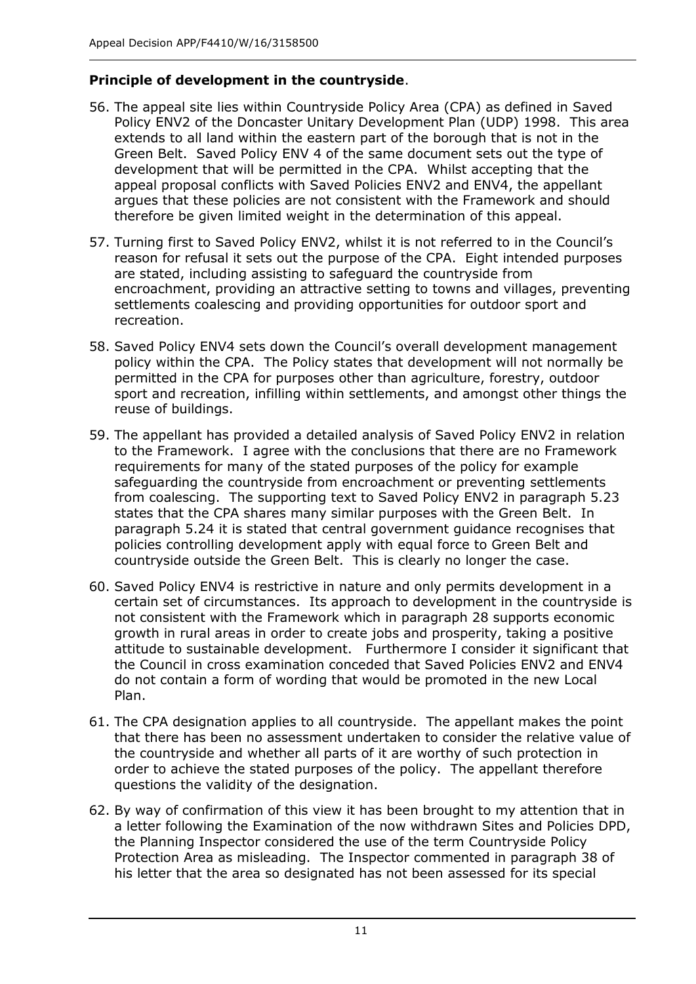### **Principle of development in the countryside**.

- 56. The appeal site lies within Countryside Policy Area (CPA) as defined in Saved Policy ENV2 of the Doncaster Unitary Development Plan (UDP) 1998. This area extends to all land within the eastern part of the borough that is not in the Green Belt. Saved Policy ENV 4 of the same document sets out the type of development that will be permitted in the CPA. Whilst accepting that the appeal proposal conflicts with Saved Policies ENV2 and ENV4, the appellant argues that these policies are not consistent with the Framework and should therefore be given limited weight in the determination of this appeal.
- 57. Turning first to Saved Policy ENV2, whilst it is not referred to in the Council's reason for refusal it sets out the purpose of the CPA. Eight intended purposes are stated, including assisting to safeguard the countryside from encroachment, providing an attractive setting to towns and villages, preventing settlements coalescing and providing opportunities for outdoor sport and recreation.
- 58. Saved Policy ENV4 sets down the Council's overall development management policy within the CPA. The Policy states that development will not normally be permitted in the CPA for purposes other than agriculture, forestry, outdoor sport and recreation, infilling within settlements, and amongst other things the reuse of buildings.
- 59. The appellant has provided a detailed analysis of Saved Policy ENV2 in relation to the Framework. I agree with the conclusions that there are no Framework requirements for many of the stated purposes of the policy for example safeguarding the countryside from encroachment or preventing settlements from coalescing. The supporting text to Saved Policy ENV2 in paragraph 5.23 states that the CPA shares many similar purposes with the Green Belt. In paragraph 5.24 it is stated that central government guidance recognises that policies controlling development apply with equal force to Green Belt and countryside outside the Green Belt. This is clearly no longer the case.
- 60. Saved Policy ENV4 is restrictive in nature and only permits development in a certain set of circumstances. Its approach to development in the countryside is not consistent with the Framework which in paragraph 28 supports economic growth in rural areas in order to create jobs and prosperity, taking a positive attitude to sustainable development. Furthermore I consider it significant that the Council in cross examination conceded that Saved Policies ENV2 and ENV4 do not contain a form of wording that would be promoted in the new Local Plan.
- 61. The CPA designation applies to all countryside. The appellant makes the point that there has been no assessment undertaken to consider the relative value of the countryside and whether all parts of it are worthy of such protection in order to achieve the stated purposes of the policy. The appellant therefore questions the validity of the designation.
- 62. By way of confirmation of this view it has been brought to my attention that in a letter following the Examination of the now withdrawn Sites and Policies DPD, the Planning Inspector considered the use of the term Countryside Policy Protection Area as misleading. The Inspector commented in paragraph 38 of his letter that the area so designated has not been assessed for its special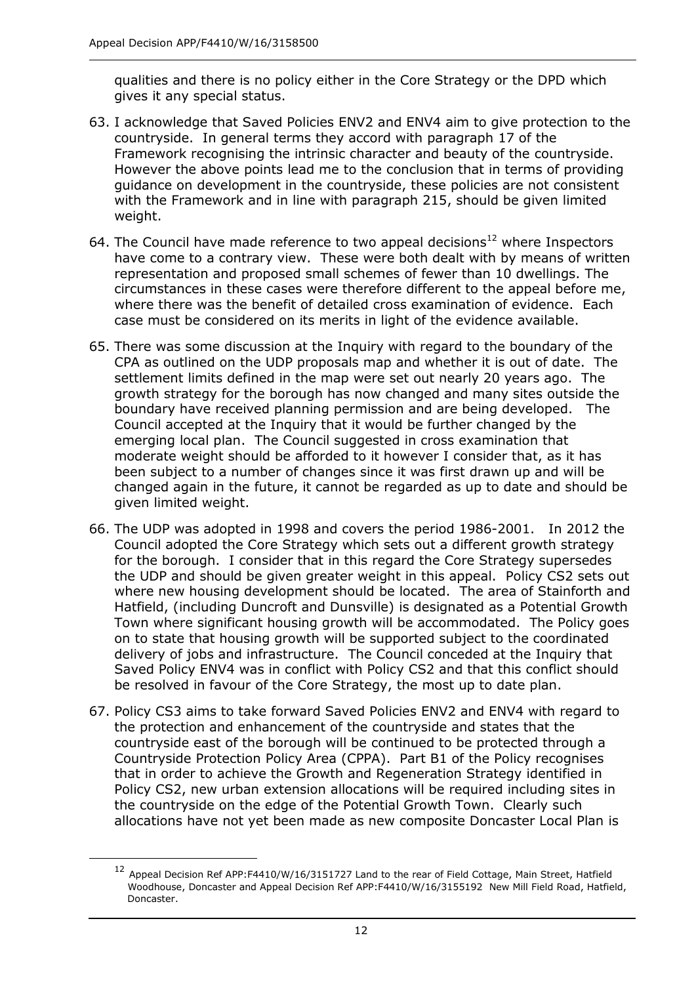$\overline{a}$ 

qualities and there is no policy either in the Core Strategy or the DPD which gives it any special status.

- 63. I acknowledge that Saved Policies ENV2 and ENV4 aim to give protection to the countryside. In general terms they accord with paragraph 17 of the Framework recognising the intrinsic character and beauty of the countryside. However the above points lead me to the conclusion that in terms of providing guidance on development in the countryside, these policies are not consistent with the Framework and in line with paragraph 215, should be given limited weight.
- 64. The Council have made reference to two appeal decisions<sup>12</sup> where Inspectors have come to a contrary view. These were both dealt with by means of written representation and proposed small schemes of fewer than 10 dwellings. The circumstances in these cases were therefore different to the appeal before me, where there was the benefit of detailed cross examination of evidence. Each case must be considered on its merits in light of the evidence available.
- 65. There was some discussion at the Inquiry with regard to the boundary of the CPA as outlined on the UDP proposals map and whether it is out of date. The settlement limits defined in the map were set out nearly 20 years ago. The growth strategy for the borough has now changed and many sites outside the boundary have received planning permission and are being developed. The Council accepted at the Inquiry that it would be further changed by the emerging local plan. The Council suggested in cross examination that moderate weight should be afforded to it however I consider that, as it has been subject to a number of changes since it was first drawn up and will be changed again in the future, it cannot be regarded as up to date and should be given limited weight.
- 66. The UDP was adopted in 1998 and covers the period 1986-2001. In 2012 the Council adopted the Core Strategy which sets out a different growth strategy for the borough. I consider that in this regard the Core Strategy supersedes the UDP and should be given greater weight in this appeal. Policy CS2 sets out where new housing development should be located. The area of Stainforth and Hatfield, (including Duncroft and Dunsville) is designated as a Potential Growth Town where significant housing growth will be accommodated. The Policy goes on to state that housing growth will be supported subject to the coordinated delivery of jobs and infrastructure. The Council conceded at the Inquiry that Saved Policy ENV4 was in conflict with Policy CS2 and that this conflict should be resolved in favour of the Core Strategy, the most up to date plan.
- 67. Policy CS3 aims to take forward Saved Policies ENV2 and ENV4 with regard to the protection and enhancement of the countryside and states that the countryside east of the borough will be continued to be protected through a Countryside Protection Policy Area (CPPA). Part B1 of the Policy recognises that in order to achieve the Growth and Regeneration Strategy identified in Policy CS2, new urban extension allocations will be required including sites in the countryside on the edge of the Potential Growth Town. Clearly such allocations have not yet been made as new composite Doncaster Local Plan is

<sup>&</sup>lt;sup>12</sup> Appeal Decision Ref APP:F4410/W/16/3151727 Land to the rear of Field Cottage, Main Street, Hatfield Woodhouse, Doncaster and Appeal Decision Ref APP:F4410/W/16/3155192 New Mill Field Road, Hatfield, Doncaster.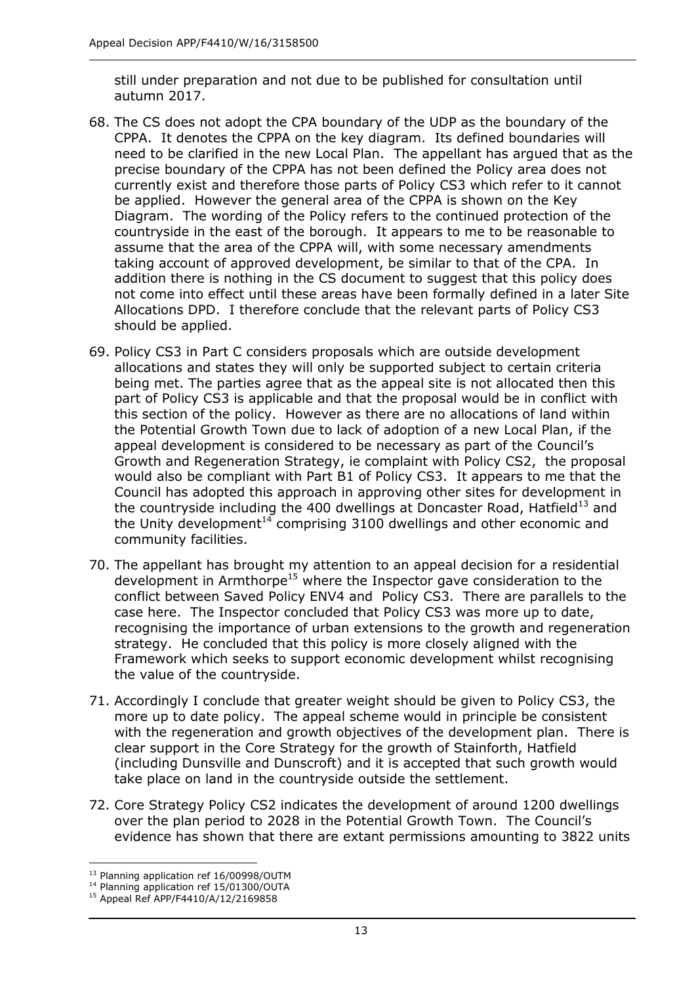still under preparation and not due to be published for consultation until autumn 2017.

- 68. The CS does not adopt the CPA boundary of the UDP as the boundary of the CPPA. It denotes the CPPA on the key diagram. Its defined boundaries will need to be clarified in the new Local Plan. The appellant has argued that as the precise boundary of the CPPA has not been defined the Policy area does not currently exist and therefore those parts of Policy CS3 which refer to it cannot be applied. However the general area of the CPPA is shown on the Key Diagram. The wording of the Policy refers to the continued protection of the countryside in the east of the borough. It appears to me to be reasonable to assume that the area of the CPPA will, with some necessary amendments taking account of approved development, be similar to that of the CPA. In addition there is nothing in the CS document to suggest that this policy does not come into effect until these areas have been formally defined in a later Site Allocations DPD. I therefore conclude that the relevant parts of Policy CS3 should be applied.
- 69. Policy CS3 in Part C considers proposals which are outside development allocations and states they will only be supported subject to certain criteria being met. The parties agree that as the appeal site is not allocated then this part of Policy CS3 is applicable and that the proposal would be in conflict with this section of the policy. However as there are no allocations of land within the Potential Growth Town due to lack of adoption of a new Local Plan, if the appeal development is considered to be necessary as part of the Council's Growth and Regeneration Strategy, ie complaint with Policy CS2, the proposal would also be compliant with Part B1 of Policy CS3. It appears to me that the Council has adopted this approach in approving other sites for development in the countryside including the 400 dwellings at Doncaster Road, Hatfield<sup>13</sup> and the Unity development<sup>14</sup> comprising 3100 dwellings and other economic and community facilities.
- 70. The appellant has brought my attention to an appeal decision for a residential development in Armthorpe<sup>15</sup> where the Inspector gave consideration to the conflict between Saved Policy ENV4 and Policy CS3. There are parallels to the case here. The Inspector concluded that Policy CS3 was more up to date, recognising the importance of urban extensions to the growth and regeneration strategy. He concluded that this policy is more closely aligned with the Framework which seeks to support economic development whilst recognising the value of the countryside.
- 71. Accordingly I conclude that greater weight should be given to Policy CS3, the more up to date policy. The appeal scheme would in principle be consistent with the regeneration and growth objectives of the development plan. There is clear support in the Core Strategy for the growth of Stainforth, Hatfield (including Dunsville and Dunscroft) and it is accepted that such growth would take place on land in the countryside outside the settlement.
- 72. Core Strategy Policy CS2 indicates the development of around 1200 dwellings over the plan period to 2028 in the Potential Growth Town. The Council's evidence has shown that there are extant permissions amounting to 3822 units

j

<sup>13</sup> Planning application ref 16/00998/OUTM

<sup>&</sup>lt;sup>14</sup> Planning application ref 15/01300/OUTA

<sup>15</sup> Appeal Ref APP/F4410/A/12/2169858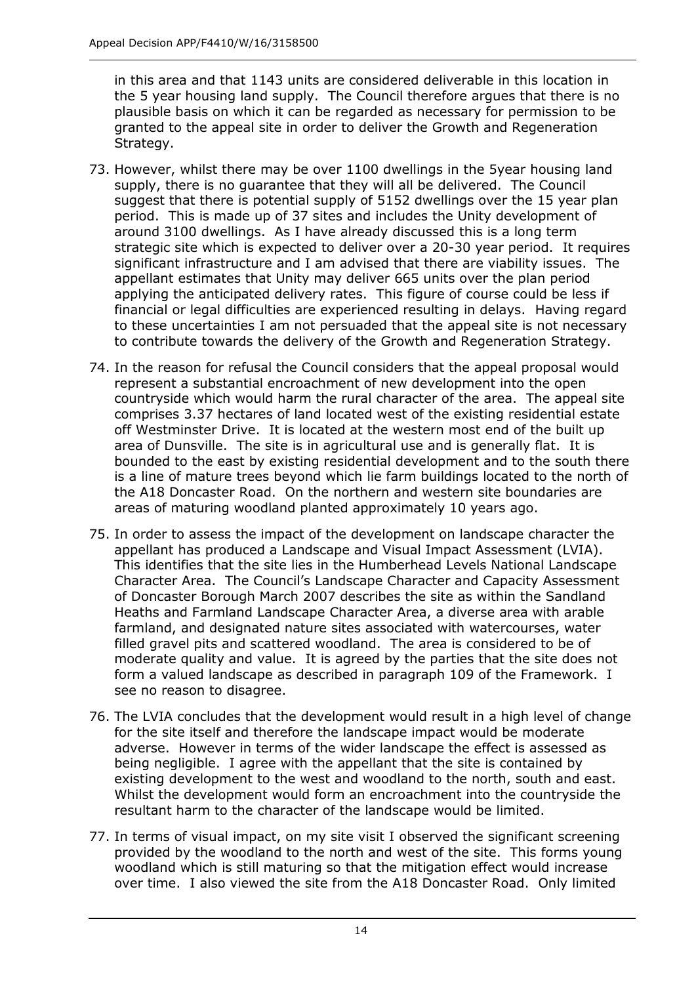in this area and that 1143 units are considered deliverable in this location in the 5 year housing land supply. The Council therefore argues that there is no plausible basis on which it can be regarded as necessary for permission to be granted to the appeal site in order to deliver the Growth and Regeneration Strategy.

- 73. However, whilst there may be over 1100 dwellings in the 5year housing land supply, there is no guarantee that they will all be delivered. The Council suggest that there is potential supply of 5152 dwellings over the 15 year plan period. This is made up of 37 sites and includes the Unity development of around 3100 dwellings. As I have already discussed this is a long term strategic site which is expected to deliver over a 20-30 year period. It requires significant infrastructure and I am advised that there are viability issues. The appellant estimates that Unity may deliver 665 units over the plan period applying the anticipated delivery rates. This figure of course could be less if financial or legal difficulties are experienced resulting in delays. Having regard to these uncertainties I am not persuaded that the appeal site is not necessary to contribute towards the delivery of the Growth and Regeneration Strategy.
- 74. In the reason for refusal the Council considers that the appeal proposal would represent a substantial encroachment of new development into the open countryside which would harm the rural character of the area. The appeal site comprises 3.37 hectares of land located west of the existing residential estate off Westminster Drive. It is located at the western most end of the built up area of Dunsville. The site is in agricultural use and is generally flat. It is bounded to the east by existing residential development and to the south there is a line of mature trees beyond which lie farm buildings located to the north of the A18 Doncaster Road. On the northern and western site boundaries are areas of maturing woodland planted approximately 10 years ago.
- 75. In order to assess the impact of the development on landscape character the appellant has produced a Landscape and Visual Impact Assessment (LVIA). This identifies that the site lies in the Humberhead Levels National Landscape Character Area. The Council's Landscape Character and Capacity Assessment of Doncaster Borough March 2007 describes the site as within the Sandland Heaths and Farmland Landscape Character Area, a diverse area with arable farmland, and designated nature sites associated with watercourses, water filled gravel pits and scattered woodland. The area is considered to be of moderate quality and value. It is agreed by the parties that the site does not form a valued landscape as described in paragraph 109 of the Framework. I see no reason to disagree.
- 76. The LVIA concludes that the development would result in a high level of change for the site itself and therefore the landscape impact would be moderate adverse. However in terms of the wider landscape the effect is assessed as being negligible. I agree with the appellant that the site is contained by existing development to the west and woodland to the north, south and east. Whilst the development would form an encroachment into the countryside the resultant harm to the character of the landscape would be limited.
- 77. In terms of visual impact, on my site visit I observed the significant screening provided by the woodland to the north and west of the site. This forms young woodland which is still maturing so that the mitigation effect would increase over time. I also viewed the site from the A18 Doncaster Road. Only limited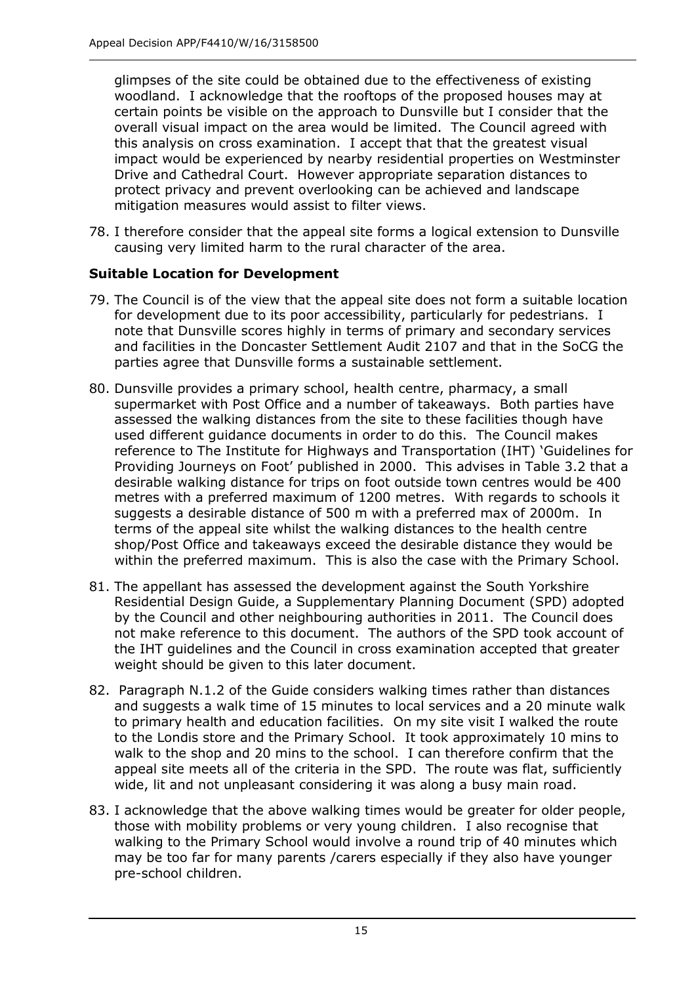glimpses of the site could be obtained due to the effectiveness of existing woodland. I acknowledge that the rooftops of the proposed houses may at certain points be visible on the approach to Dunsville but I consider that the overall visual impact on the area would be limited. The Council agreed with this analysis on cross examination. I accept that that the greatest visual impact would be experienced by nearby residential properties on Westminster Drive and Cathedral Court. However appropriate separation distances to protect privacy and prevent overlooking can be achieved and landscape mitigation measures would assist to filter views.

78. I therefore consider that the appeal site forms a logical extension to Dunsville causing very limited harm to the rural character of the area.

## **Suitable Location for Development**

- 79. The Council is of the view that the appeal site does not form a suitable location for development due to its poor accessibility, particularly for pedestrians. I note that Dunsville scores highly in terms of primary and secondary services and facilities in the Doncaster Settlement Audit 2107 and that in the SoCG the parties agree that Dunsville forms a sustainable settlement.
- 80. Dunsville provides a primary school, health centre, pharmacy, a small supermarket with Post Office and a number of takeaways. Both parties have assessed the walking distances from the site to these facilities though have used different guidance documents in order to do this. The Council makes reference to The Institute for Highways and Transportation (IHT) 'Guidelines for Providing Journeys on Foot' published in 2000. This advises in Table 3.2 that a desirable walking distance for trips on foot outside town centres would be 400 metres with a preferred maximum of 1200 metres. With regards to schools it suggests a desirable distance of 500 m with a preferred max of 2000m. In terms of the appeal site whilst the walking distances to the health centre shop/Post Office and takeaways exceed the desirable distance they would be within the preferred maximum. This is also the case with the Primary School.
- 81. The appellant has assessed the development against the South Yorkshire Residential Design Guide, a Supplementary Planning Document (SPD) adopted by the Council and other neighbouring authorities in 2011. The Council does not make reference to this document. The authors of the SPD took account of the IHT guidelines and the Council in cross examination accepted that greater weight should be given to this later document.
- 82. Paragraph N.1.2 of the Guide considers walking times rather than distances and suggests a walk time of 15 minutes to local services and a 20 minute walk to primary health and education facilities. On my site visit I walked the route to the Londis store and the Primary School. It took approximately 10 mins to walk to the shop and 20 mins to the school. I can therefore confirm that the appeal site meets all of the criteria in the SPD. The route was flat, sufficiently wide, lit and not unpleasant considering it was along a busy main road.
- 83. I acknowledge that the above walking times would be greater for older people, those with mobility problems or very young children. I also recognise that walking to the Primary School would involve a round trip of 40 minutes which may be too far for many parents /carers especially if they also have younger pre-school children.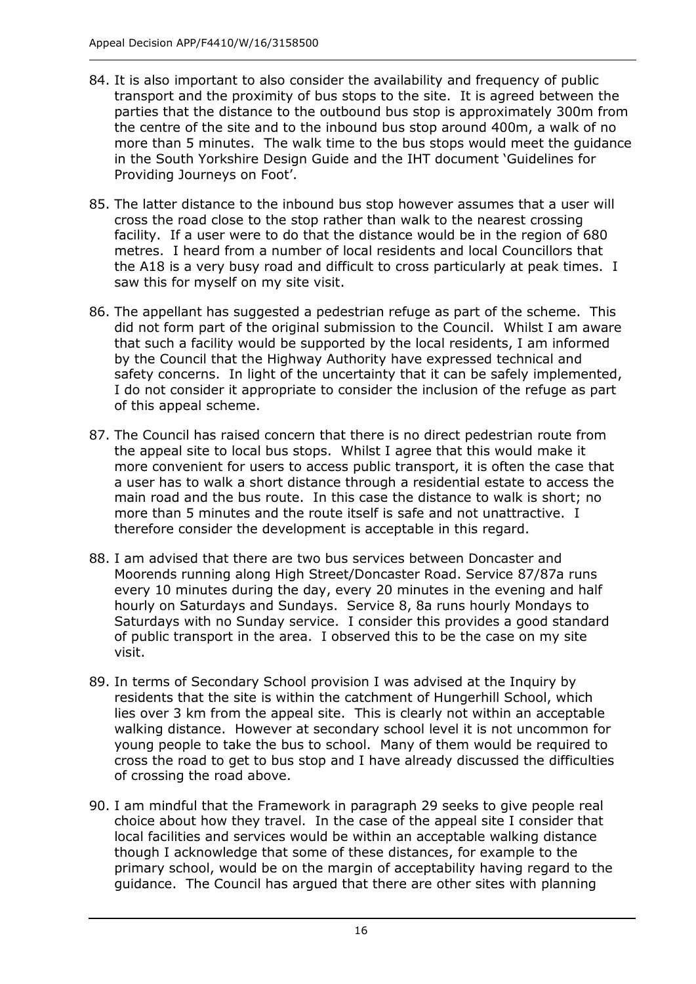- 84. It is also important to also consider the availability and frequency of public transport and the proximity of bus stops to the site. It is agreed between the parties that the distance to the outbound bus stop is approximately 300m from the centre of the site and to the inbound bus stop around 400m, a walk of no more than 5 minutes. The walk time to the bus stops would meet the guidance in the South Yorkshire Design Guide and the IHT document 'Guidelines for Providing Journeys on Foot'.
- 85. The latter distance to the inbound bus stop however assumes that a user will cross the road close to the stop rather than walk to the nearest crossing facility. If a user were to do that the distance would be in the region of 680 metres. I heard from a number of local residents and local Councillors that the A18 is a very busy road and difficult to cross particularly at peak times. I saw this for myself on my site visit.
- 86. The appellant has suggested a pedestrian refuge as part of the scheme. This did not form part of the original submission to the Council. Whilst I am aware that such a facility would be supported by the local residents, I am informed by the Council that the Highway Authority have expressed technical and safety concerns. In light of the uncertainty that it can be safely implemented, I do not consider it appropriate to consider the inclusion of the refuge as part of this appeal scheme.
- 87. The Council has raised concern that there is no direct pedestrian route from the appeal site to local bus stops. Whilst I agree that this would make it more convenient for users to access public transport, it is often the case that a user has to walk a short distance through a residential estate to access the main road and the bus route. In this case the distance to walk is short; no more than 5 minutes and the route itself is safe and not unattractive. I therefore consider the development is acceptable in this regard.
- 88. I am advised that there are two bus services between Doncaster and Moorends running along High Street/Doncaster Road. Service 87/87a runs every 10 minutes during the day, every 20 minutes in the evening and half hourly on Saturdays and Sundays. Service 8, 8a runs hourly Mondays to Saturdays with no Sunday service. I consider this provides a good standard of public transport in the area. I observed this to be the case on my site visit.
- 89. In terms of Secondary School provision I was advised at the Inquiry by residents that the site is within the catchment of Hungerhill School, which lies over 3 km from the appeal site. This is clearly not within an acceptable walking distance. However at secondary school level it is not uncommon for young people to take the bus to school. Many of them would be required to cross the road to get to bus stop and I have already discussed the difficulties of crossing the road above.
- 90. I am mindful that the Framework in paragraph 29 seeks to give people real choice about how they travel. In the case of the appeal site I consider that local facilities and services would be within an acceptable walking distance though I acknowledge that some of these distances, for example to the primary school, would be on the margin of acceptability having regard to the guidance. The Council has argued that there are other sites with planning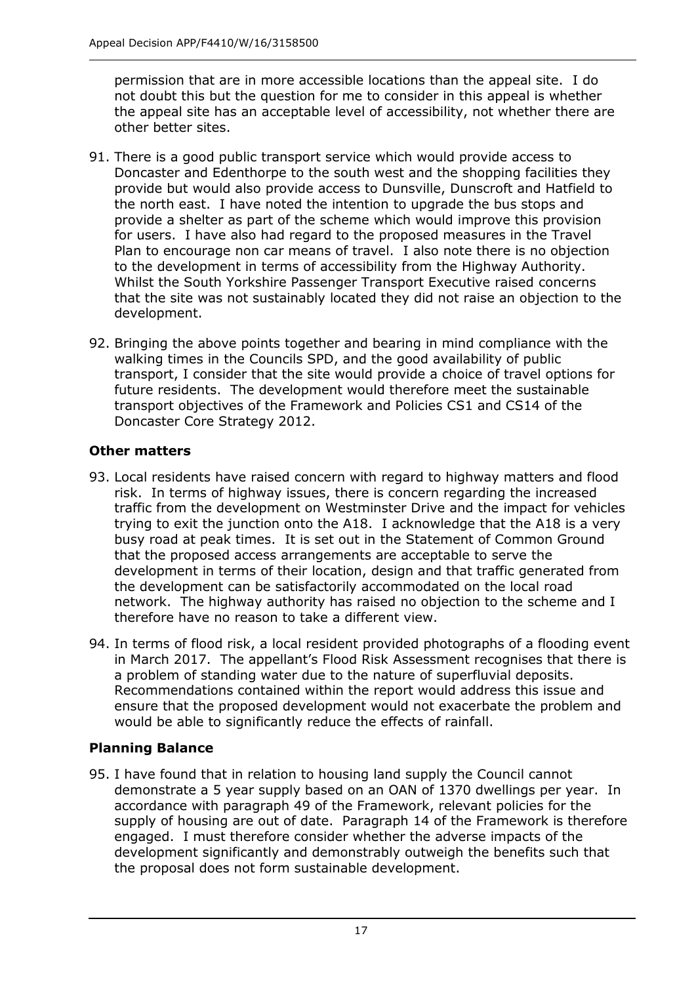permission that are in more accessible locations than the appeal site. I do not doubt this but the question for me to consider in this appeal is whether the appeal site has an acceptable level of accessibility, not whether there are other better sites.

- 91. There is a good public transport service which would provide access to Doncaster and Edenthorpe to the south west and the shopping facilities they provide but would also provide access to Dunsville, Dunscroft and Hatfield to the north east. I have noted the intention to upgrade the bus stops and provide a shelter as part of the scheme which would improve this provision for users. I have also had regard to the proposed measures in the Travel Plan to encourage non car means of travel. I also note there is no objection to the development in terms of accessibility from the Highway Authority. Whilst the South Yorkshire Passenger Transport Executive raised concerns that the site was not sustainably located they did not raise an objection to the development.
- 92. Bringing the above points together and bearing in mind compliance with the walking times in the Councils SPD, and the good availability of public transport, I consider that the site would provide a choice of travel options for future residents. The development would therefore meet the sustainable transport objectives of the Framework and Policies CS1 and CS14 of the Doncaster Core Strategy 2012.

# **Other matters**

- 93. Local residents have raised concern with regard to highway matters and flood risk. In terms of highway issues, there is concern regarding the increased traffic from the development on Westminster Drive and the impact for vehicles trying to exit the junction onto the A18. I acknowledge that the A18 is a very busy road at peak times. It is set out in the Statement of Common Ground that the proposed access arrangements are acceptable to serve the development in terms of their location, design and that traffic generated from the development can be satisfactorily accommodated on the local road network. The highway authority has raised no objection to the scheme and I therefore have no reason to take a different view.
- 94. In terms of flood risk, a local resident provided photographs of a flooding event in March 2017. The appellant's Flood Risk Assessment recognises that there is a problem of standing water due to the nature of superfluvial deposits. Recommendations contained within the report would address this issue and ensure that the proposed development would not exacerbate the problem and would be able to significantly reduce the effects of rainfall.

# **Planning Balance**

95. I have found that in relation to housing land supply the Council cannot demonstrate a 5 year supply based on an OAN of 1370 dwellings per year. In accordance with paragraph 49 of the Framework, relevant policies for the supply of housing are out of date. Paragraph 14 of the Framework is therefore engaged. I must therefore consider whether the adverse impacts of the development significantly and demonstrably outweigh the benefits such that the proposal does not form sustainable development.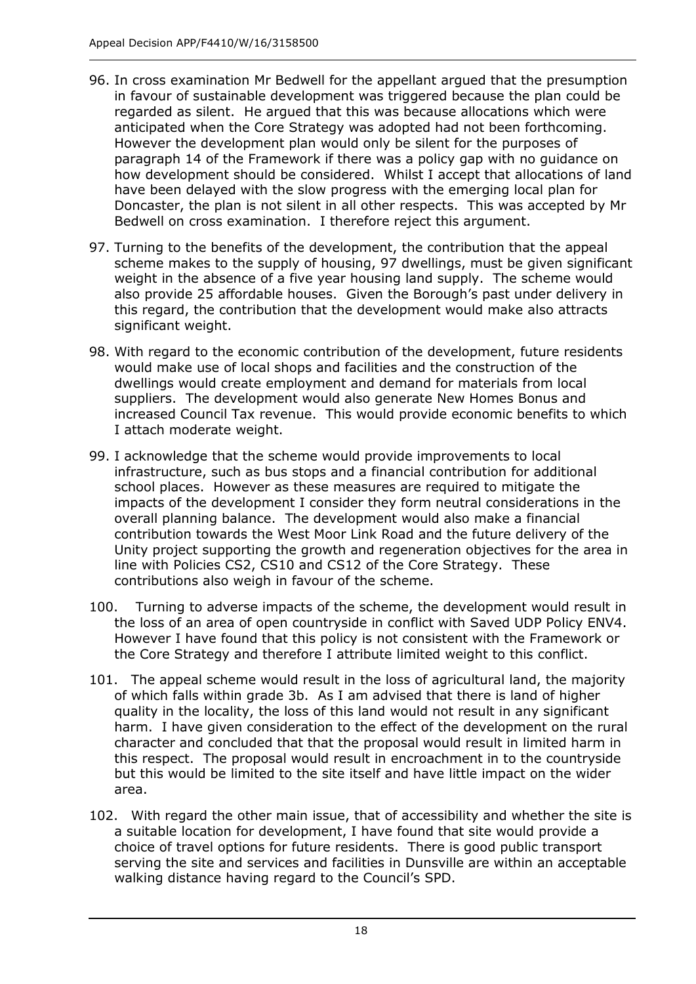- 96. In cross examination Mr Bedwell for the appellant argued that the presumption in favour of sustainable development was triggered because the plan could be regarded as silent. He argued that this was because allocations which were anticipated when the Core Strategy was adopted had not been forthcoming. However the development plan would only be silent for the purposes of paragraph 14 of the Framework if there was a policy gap with no guidance on how development should be considered. Whilst I accept that allocations of land have been delayed with the slow progress with the emerging local plan for Doncaster, the plan is not silent in all other respects. This was accepted by Mr Bedwell on cross examination. I therefore reject this argument.
- 97. Turning to the benefits of the development, the contribution that the appeal scheme makes to the supply of housing, 97 dwellings, must be given significant weight in the absence of a five year housing land supply. The scheme would also provide 25 affordable houses. Given the Borough's past under delivery in this regard, the contribution that the development would make also attracts significant weight.
- 98. With regard to the economic contribution of the development, future residents would make use of local shops and facilities and the construction of the dwellings would create employment and demand for materials from local suppliers. The development would also generate New Homes Bonus and increased Council Tax revenue. This would provide economic benefits to which I attach moderate weight.
- 99. I acknowledge that the scheme would provide improvements to local infrastructure, such as bus stops and a financial contribution for additional school places. However as these measures are required to mitigate the impacts of the development I consider they form neutral considerations in the overall planning balance. The development would also make a financial contribution towards the West Moor Link Road and the future delivery of the Unity project supporting the growth and regeneration objectives for the area in line with Policies CS2, CS10 and CS12 of the Core Strategy. These contributions also weigh in favour of the scheme.
- 100. Turning to adverse impacts of the scheme, the development would result in the loss of an area of open countryside in conflict with Saved UDP Policy ENV4. However I have found that this policy is not consistent with the Framework or the Core Strategy and therefore I attribute limited weight to this conflict.
- 101. The appeal scheme would result in the loss of agricultural land, the majority of which falls within grade 3b. As I am advised that there is land of higher quality in the locality, the loss of this land would not result in any significant harm. I have given consideration to the effect of the development on the rural character and concluded that that the proposal would result in limited harm in this respect. The proposal would result in encroachment in to the countryside but this would be limited to the site itself and have little impact on the wider area.
- 102. With regard the other main issue, that of accessibility and whether the site is a suitable location for development, I have found that site would provide a choice of travel options for future residents. There is good public transport serving the site and services and facilities in Dunsville are within an acceptable walking distance having regard to the Council's SPD.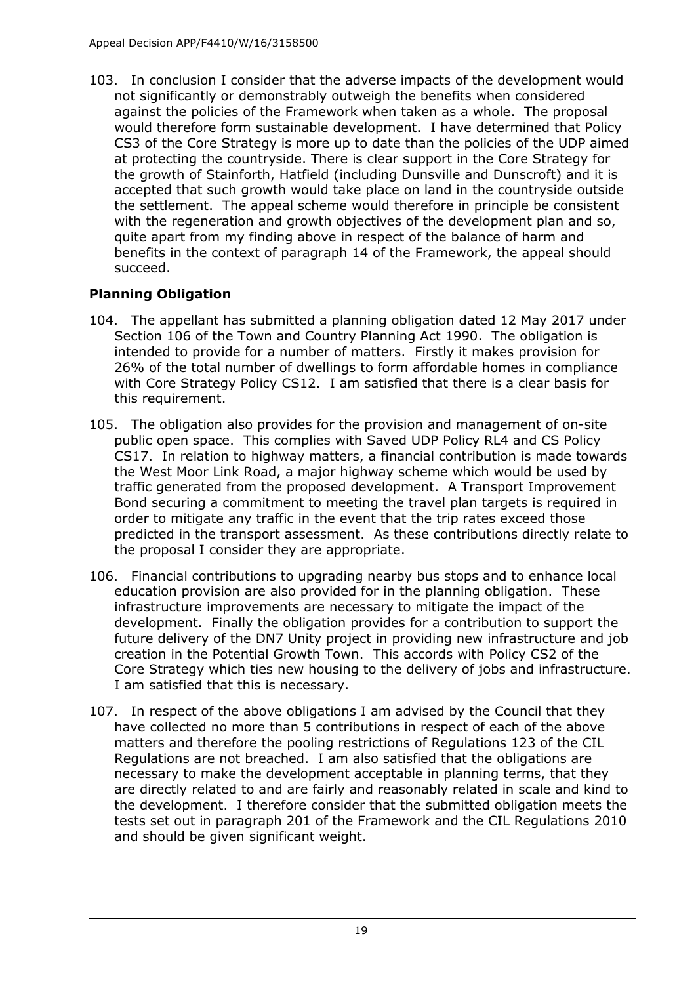103. In conclusion I consider that the adverse impacts of the development would not significantly or demonstrably outweigh the benefits when considered against the policies of the Framework when taken as a whole. The proposal would therefore form sustainable development. I have determined that Policy CS3 of the Core Strategy is more up to date than the policies of the UDP aimed at protecting the countryside. There is clear support in the Core Strategy for the growth of Stainforth, Hatfield (including Dunsville and Dunscroft) and it is accepted that such growth would take place on land in the countryside outside the settlement. The appeal scheme would therefore in principle be consistent with the regeneration and growth objectives of the development plan and so, quite apart from my finding above in respect of the balance of harm and benefits in the context of paragraph 14 of the Framework, the appeal should succeed.

# **Planning Obligation**

- 104. The appellant has submitted a planning obligation dated 12 May 2017 under Section 106 of the Town and Country Planning Act 1990. The obligation is intended to provide for a number of matters. Firstly it makes provision for 26% of the total number of dwellings to form affordable homes in compliance with Core Strategy Policy CS12. I am satisfied that there is a clear basis for this requirement.
- 105. The obligation also provides for the provision and management of on-site public open space. This complies with Saved UDP Policy RL4 and CS Policy CS17. In relation to highway matters, a financial contribution is made towards the West Moor Link Road, a major highway scheme which would be used by traffic generated from the proposed development. A Transport Improvement Bond securing a commitment to meeting the travel plan targets is required in order to mitigate any traffic in the event that the trip rates exceed those predicted in the transport assessment. As these contributions directly relate to the proposal I consider they are appropriate.
- 106. Financial contributions to upgrading nearby bus stops and to enhance local education provision are also provided for in the planning obligation. These infrastructure improvements are necessary to mitigate the impact of the development. Finally the obligation provides for a contribution to support the future delivery of the DN7 Unity project in providing new infrastructure and job creation in the Potential Growth Town. This accords with Policy CS2 of the Core Strategy which ties new housing to the delivery of jobs and infrastructure. I am satisfied that this is necessary.
- 107. In respect of the above obligations I am advised by the Council that they have collected no more than 5 contributions in respect of each of the above matters and therefore the pooling restrictions of Regulations 123 of the CIL Regulations are not breached. I am also satisfied that the obligations are necessary to make the development acceptable in planning terms, that they are directly related to and are fairly and reasonably related in scale and kind to the development. I therefore consider that the submitted obligation meets the tests set out in paragraph 201 of the Framework and the CIL Regulations 2010 and should be given significant weight.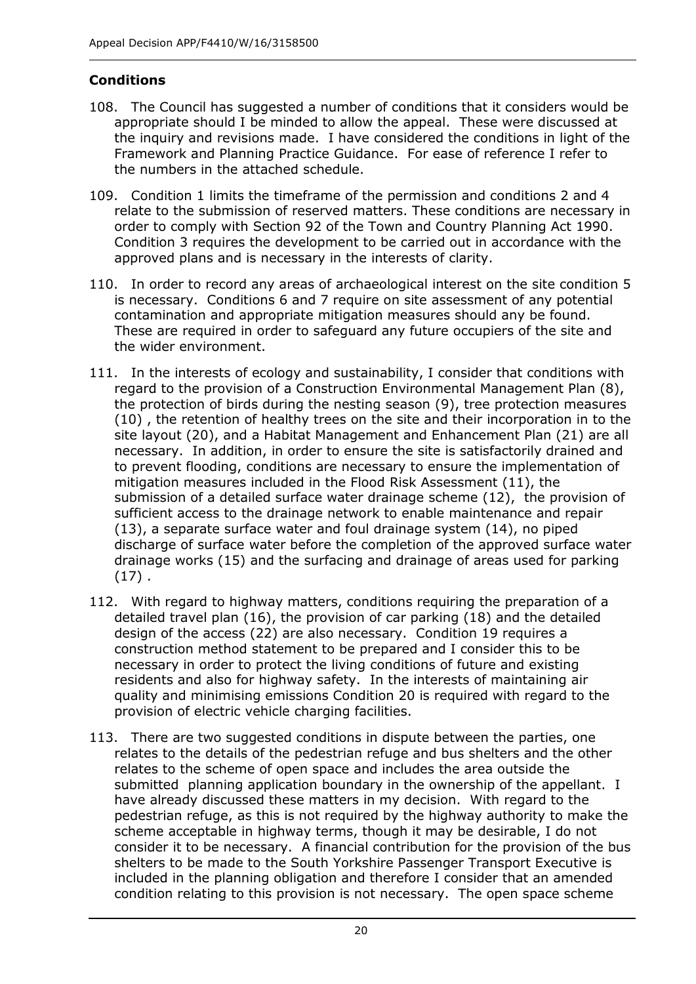## **Conditions**

- 108. The Council has suggested a number of conditions that it considers would be appropriate should I be minded to allow the appeal. These were discussed at the inquiry and revisions made. I have considered the conditions in light of the Framework and Planning Practice Guidance. For ease of reference I refer to the numbers in the attached schedule.
- 109. Condition 1 limits the timeframe of the permission and conditions 2 and 4 relate to the submission of reserved matters. These conditions are necessary in order to comply with Section 92 of the Town and Country Planning Act 1990. Condition 3 requires the development to be carried out in accordance with the approved plans and is necessary in the interests of clarity.
- 110. In order to record any areas of archaeological interest on the site condition 5 is necessary. Conditions 6 and 7 require on site assessment of any potential contamination and appropriate mitigation measures should any be found. These are required in order to safeguard any future occupiers of the site and the wider environment.
- 111. In the interests of ecology and sustainability, I consider that conditions with regard to the provision of a Construction Environmental Management Plan (8), the protection of birds during the nesting season (9), tree protection measures (10) , the retention of healthy trees on the site and their incorporation in to the site layout (20), and a Habitat Management and Enhancement Plan (21) are all necessary. In addition, in order to ensure the site is satisfactorily drained and to prevent flooding, conditions are necessary to ensure the implementation of mitigation measures included in the Flood Risk Assessment (11), the submission of a detailed surface water drainage scheme (12), the provision of sufficient access to the drainage network to enable maintenance and repair (13), a separate surface water and foul drainage system (14), no piped discharge of surface water before the completion of the approved surface water drainage works (15) and the surfacing and drainage of areas used for parking  $(17)$ .
- 112. With regard to highway matters, conditions requiring the preparation of a detailed travel plan (16), the provision of car parking (18) and the detailed design of the access (22) are also necessary. Condition 19 requires a construction method statement to be prepared and I consider this to be necessary in order to protect the living conditions of future and existing residents and also for highway safety. In the interests of maintaining air quality and minimising emissions Condition 20 is required with regard to the provision of electric vehicle charging facilities.
- 113. There are two suggested conditions in dispute between the parties, one relates to the details of the pedestrian refuge and bus shelters and the other relates to the scheme of open space and includes the area outside the submitted planning application boundary in the ownership of the appellant. I have already discussed these matters in my decision. With regard to the pedestrian refuge, as this is not required by the highway authority to make the scheme acceptable in highway terms, though it may be desirable, I do not consider it to be necessary. A financial contribution for the provision of the bus shelters to be made to the South Yorkshire Passenger Transport Executive is included in the planning obligation and therefore I consider that an amended condition relating to this provision is not necessary. The open space scheme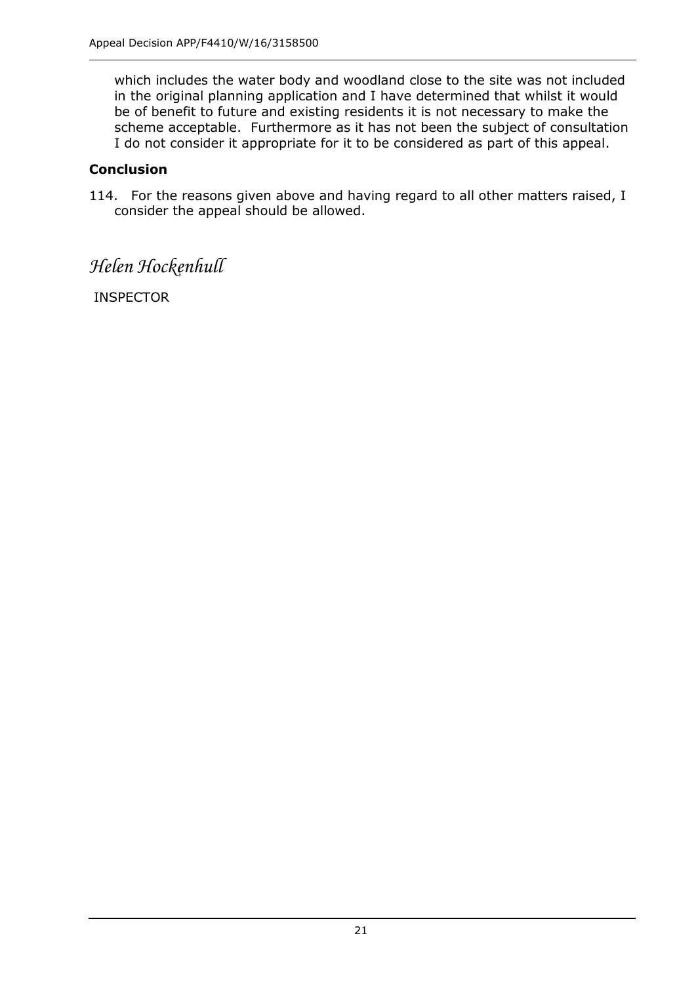which includes the water body and woodland close to the site was not included in the original planning application and I have determined that whilst it would be of benefit to future and existing residents it is not necessary to make the scheme acceptable. Furthermore as it has not been the subject of consultation I do not consider it appropriate for it to be considered as part of this appeal.

#### **Conclusion**

114. For the reasons given above and having regard to all other matters raised, I consider the appeal should be allowed.

# *Helen Hockenhull*

INSPECTOR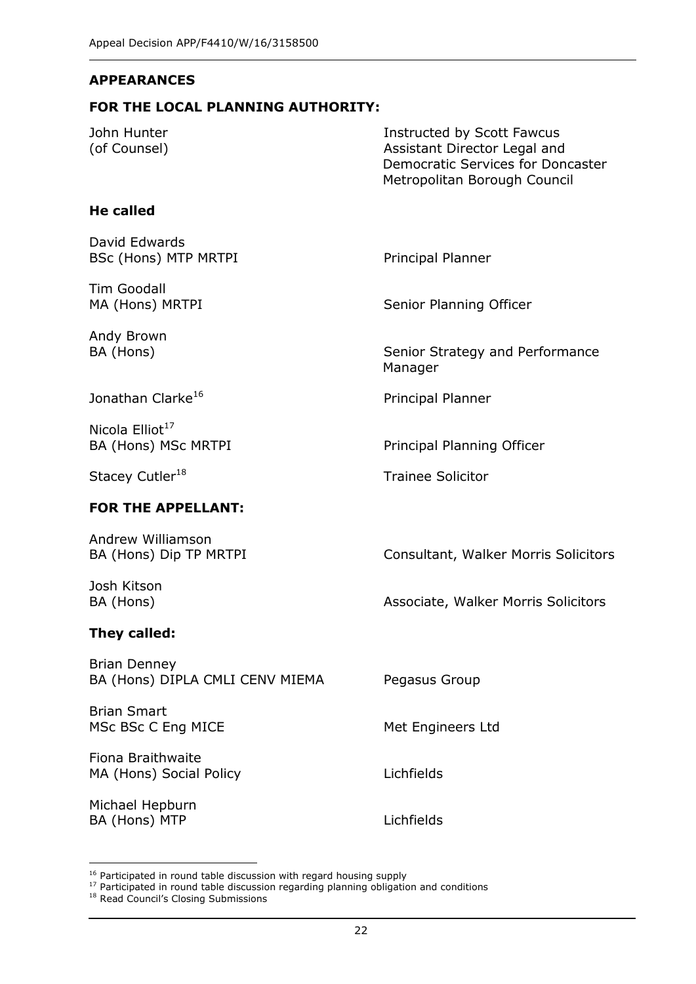#### **APPEARANCES**

#### **FOR THE LOCAL PLANNING AUTHORITY:**

| John Hunter<br>(of Counsel)                            | Instructed by Scott Fawcus<br>Assistant Director Legal and<br>Democratic Services for Doncaster<br>Metropolitan Borough Council |  |
|--------------------------------------------------------|---------------------------------------------------------------------------------------------------------------------------------|--|
| <b>He called</b>                                       |                                                                                                                                 |  |
| David Edwards<br><b>BSc (Hons) MTP MRTPI</b>           | Principal Planner                                                                                                               |  |
| Tim Goodall<br>MA (Hons) MRTPI                         | Senior Planning Officer                                                                                                         |  |
| Andy Brown<br>BA (Hons)                                | Senior Strategy and Performance<br>Manager                                                                                      |  |
| Jonathan Clarke <sup>16</sup>                          | Principal Planner                                                                                                               |  |
| Nicola $Elliot17$<br>BA (Hons) MSc MRTPI               | Principal Planning Officer                                                                                                      |  |
| Stacey Cutler <sup>18</sup>                            | <b>Trainee Solicitor</b>                                                                                                        |  |
| <b>FOR THE APPELLANT:</b>                              |                                                                                                                                 |  |
| Andrew Williamson<br>BA (Hons) Dip TP MRTPI            | Consultant, Walker Morris Solicitors                                                                                            |  |
| Josh Kitson<br>BA (Hons)                               | Associate, Walker Morris Solicitors                                                                                             |  |
| They called:                                           |                                                                                                                                 |  |
| <b>Brian Denney</b><br>BA (Hons) DIPLA CMLI CENV MIEMA | Pegasus Group                                                                                                                   |  |
| <b>Brian Smart</b><br>MSc BSc C Eng MICE               | Met Engineers Ltd                                                                                                               |  |
| Fiona Braithwaite<br>MA (Hons) Social Policy           | Lichfields                                                                                                                      |  |
| Michael Hepburn<br>BA (Hons) MTP                       | Lichfields                                                                                                                      |  |

j

 $16$  Participated in round table discussion with regard housing supply

 $17$  Participated in round table discussion regarding planning obligation and conditions

<sup>&</sup>lt;sup>18</sup> Read Council's Closing Submissions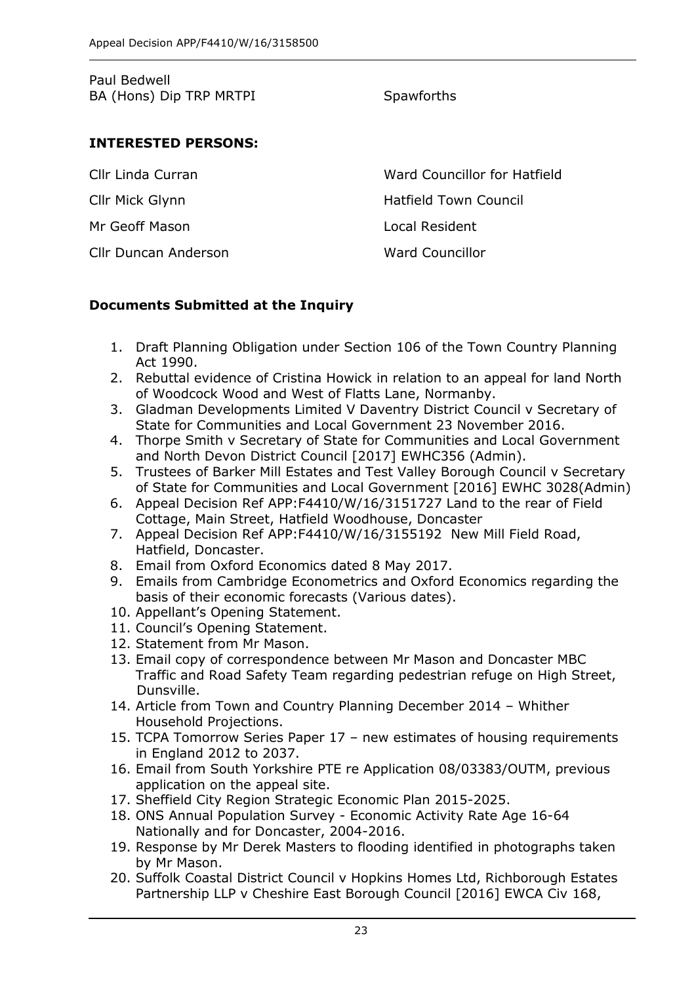| Paul Bedwell            |  |  |
|-------------------------|--|--|
| BA (Hons) Dip TRP MRTPI |  |  |

### **Spawforths**

### **INTERESTED PERSONS:**

| Cllr Linda Curran           | Ward Councillor for Hatfield |
|-----------------------------|------------------------------|
| Cllr Mick Glynn             | Hatfield Town Council        |
| Mr Geoff Mason              | Local Resident               |
| <b>Cllr Duncan Anderson</b> | <b>Ward Councillor</b>       |

#### **Documents Submitted at the Inquiry**

- 1. Draft Planning Obligation under Section 106 of the Town Country Planning Act 1990.
- 2. Rebuttal evidence of Cristina Howick in relation to an appeal for land North of Woodcock Wood and West of Flatts Lane, Normanby.
- 3. Gladman Developments Limited V Daventry District Council v Secretary of State for Communities and Local Government 23 November 2016.
- 4. Thorpe Smith v Secretary of State for Communities and Local Government and North Devon District Council [2017] EWHC356 (Admin).
- 5. Trustees of Barker Mill Estates and Test Valley Borough Council v Secretary of State for Communities and Local Government [2016] EWHC 3028(Admin)
- 6. Appeal Decision Ref APP:F4410/W/16/3151727 Land to the rear of Field Cottage, Main Street, Hatfield Woodhouse, Doncaster
- 7. Appeal Decision Ref APP:F4410/W/16/3155192 New Mill Field Road, Hatfield, Doncaster.
- 8. Email from Oxford Economics dated 8 May 2017.
- 9. Emails from Cambridge Econometrics and Oxford Economics regarding the basis of their economic forecasts (Various dates).
- 10. Appellant's Opening Statement.
- 11. Council's Opening Statement.
- 12. Statement from Mr Mason.
- 13. Email copy of correspondence between Mr Mason and Doncaster MBC Traffic and Road Safety Team regarding pedestrian refuge on High Street, Dunsville.
- 14. Article from Town and Country Planning December 2014 Whither Household Projections.
- 15. TCPA Tomorrow Series Paper 17 new estimates of housing requirements in England 2012 to 2037.
- 16. Email from South Yorkshire PTE re Application 08/03383/OUTM, previous application on the appeal site.
- 17. Sheffield City Region Strategic Economic Plan 2015-2025.
- 18. ONS Annual Population Survey Economic Activity Rate Age 16-64 Nationally and for Doncaster, 2004-2016.
- 19. Response by Mr Derek Masters to flooding identified in photographs taken by Mr Mason.
- 20. Suffolk Coastal District Council v Hopkins Homes Ltd, Richborough Estates Partnership LLP v Cheshire East Borough Council [2016] EWCA Civ 168,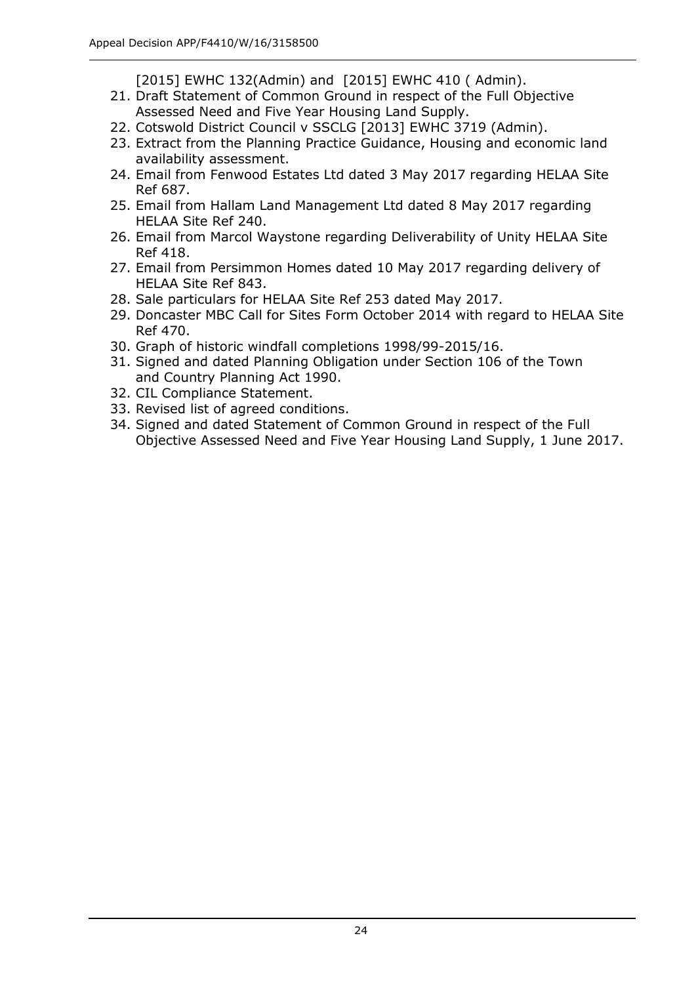[2015] EWHC 132(Admin) and [2015] EWHC 410 (Admin).

- 21. Draft Statement of Common Ground in respect of the Full Objective Assessed Need and Five Year Housing Land Supply.
- 22. Cotswold District Council v SSCLG [2013] EWHC 3719 (Admin).
- 23. Extract from the Planning Practice Guidance, Housing and economic land availability assessment.
- 24. Email from Fenwood Estates Ltd dated 3 May 2017 regarding HELAA Site Ref 687.
- 25. Email from Hallam Land Management Ltd dated 8 May 2017 regarding HELAA Site Ref 240.
- 26. Email from Marcol Waystone regarding Deliverability of Unity HELAA Site Ref 418.
- 27. Email from Persimmon Homes dated 10 May 2017 regarding delivery of HELAA Site Ref 843.
- 28. Sale particulars for HELAA Site Ref 253 dated May 2017.
- 29. Doncaster MBC Call for Sites Form October 2014 with regard to HELAA Site Ref 470.
- 30. Graph of historic windfall completions 1998/99-2015/16.
- 31. Signed and dated Planning Obligation under Section 106 of the Town and Country Planning Act 1990.
- 32. CIL Compliance Statement.
- 33. Revised list of agreed conditions.
- 34. Signed and dated Statement of Common Ground in respect of the Full Objective Assessed Need and Five Year Housing Land Supply, 1 June 2017.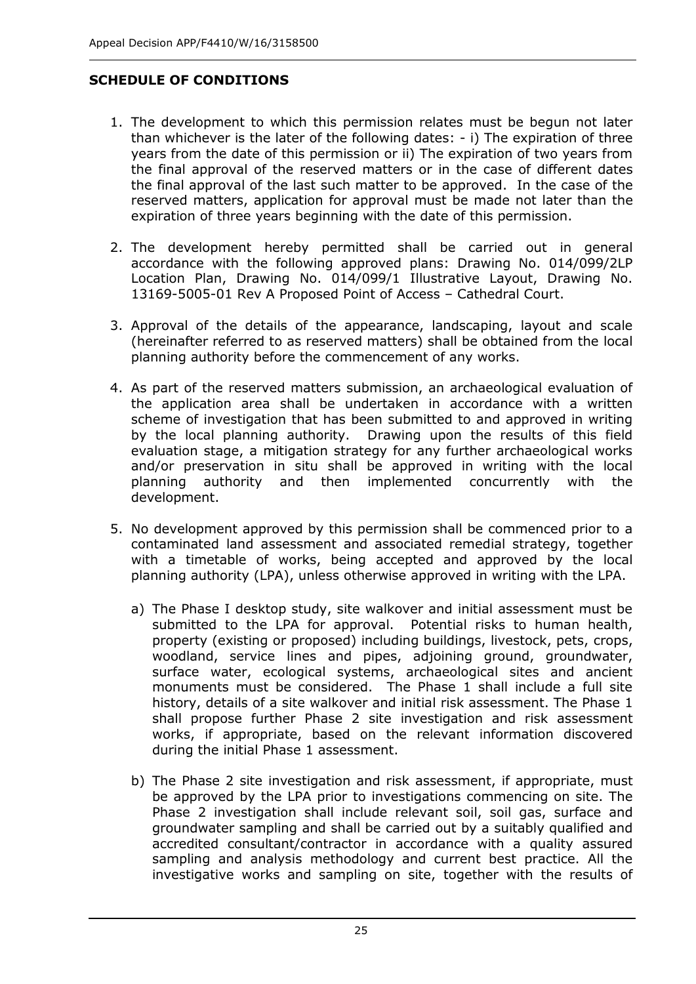## **SCHEDULE OF CONDITIONS**

- 1. The development to which this permission relates must be begun not later than whichever is the later of the following dates: - i) The expiration of three years from the date of this permission or ii) The expiration of two years from the final approval of the reserved matters or in the case of different dates the final approval of the last such matter to be approved. In the case of the reserved matters, application for approval must be made not later than the expiration of three years beginning with the date of this permission.
- 2. The development hereby permitted shall be carried out in general accordance with the following approved plans: Drawing No. 014/099/2LP Location Plan, Drawing No. 014/099/1 Illustrative Layout, Drawing No. 13169-5005-01 Rev A Proposed Point of Access – Cathedral Court.
- 3. Approval of the details of the appearance, landscaping, layout and scale (hereinafter referred to as reserved matters) shall be obtained from the local planning authority before the commencement of any works.
- 4. As part of the reserved matters submission, an archaeological evaluation of the application area shall be undertaken in accordance with a written scheme of investigation that has been submitted to and approved in writing by the local planning authority. Drawing upon the results of this field evaluation stage, a mitigation strategy for any further archaeological works and/or preservation in situ shall be approved in writing with the local planning authority and then implemented concurrently with the development.
- 5. No development approved by this permission shall be commenced prior to a contaminated land assessment and associated remedial strategy, together with a timetable of works, being accepted and approved by the local planning authority (LPA), unless otherwise approved in writing with the LPA.
	- a) The Phase I desktop study, site walkover and initial assessment must be submitted to the LPA for approval. Potential risks to human health, property (existing or proposed) including buildings, livestock, pets, crops, woodland, service lines and pipes, adjoining ground, groundwater, surface water, ecological systems, archaeological sites and ancient monuments must be considered. The Phase 1 shall include a full site history, details of a site walkover and initial risk assessment. The Phase 1 shall propose further Phase 2 site investigation and risk assessment works, if appropriate, based on the relevant information discovered during the initial Phase 1 assessment.
	- b) The Phase 2 site investigation and risk assessment, if appropriate, must be approved by the LPA prior to investigations commencing on site. The Phase 2 investigation shall include relevant soil, soil gas, surface and groundwater sampling and shall be carried out by a suitably qualified and accredited consultant/contractor in accordance with a quality assured sampling and analysis methodology and current best practice. All the investigative works and sampling on site, together with the results of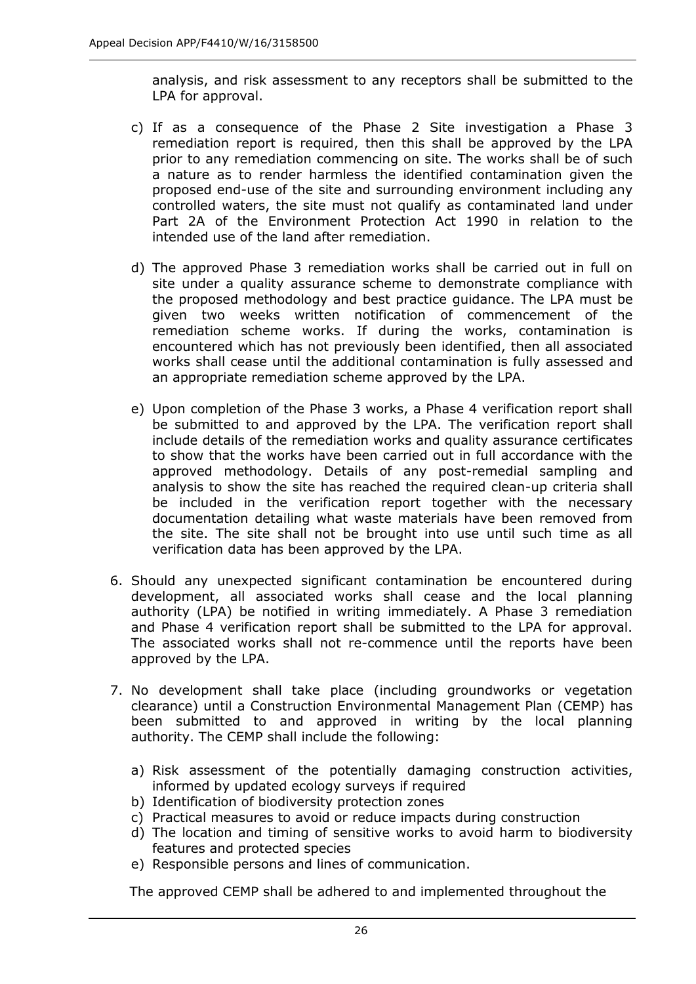analysis, and risk assessment to any receptors shall be submitted to the LPA for approval.

- c) If as a consequence of the Phase 2 Site investigation a Phase 3 remediation report is required, then this shall be approved by the LPA prior to any remediation commencing on site. The works shall be of such a nature as to render harmless the identified contamination given the proposed end-use of the site and surrounding environment including any controlled waters, the site must not qualify as contaminated land under Part 2A of the Environment Protection Act 1990 in relation to the intended use of the land after remediation.
- d) The approved Phase 3 remediation works shall be carried out in full on site under a quality assurance scheme to demonstrate compliance with the proposed methodology and best practice guidance. The LPA must be given two weeks written notification of commencement of the remediation scheme works. If during the works, contamination is encountered which has not previously been identified, then all associated works shall cease until the additional contamination is fully assessed and an appropriate remediation scheme approved by the LPA.
- e) Upon completion of the Phase 3 works, a Phase 4 verification report shall be submitted to and approved by the LPA. The verification report shall include details of the remediation works and quality assurance certificates to show that the works have been carried out in full accordance with the approved methodology. Details of any post-remedial sampling and analysis to show the site has reached the required clean-up criteria shall be included in the verification report together with the necessary documentation detailing what waste materials have been removed from the site. The site shall not be brought into use until such time as all verification data has been approved by the LPA.
- 6. Should any unexpected significant contamination be encountered during development, all associated works shall cease and the local planning authority (LPA) be notified in writing immediately. A Phase 3 remediation and Phase 4 verification report shall be submitted to the LPA for approval. The associated works shall not re-commence until the reports have been approved by the LPA.
- 7. No development shall take place (including groundworks or vegetation clearance) until a Construction Environmental Management Plan (CEMP) has been submitted to and approved in writing by the local planning authority. The CEMP shall include the following:
	- a) Risk assessment of the potentially damaging construction activities, informed by updated ecology surveys if required
	- b) Identification of biodiversity protection zones
	- c) Practical measures to avoid or reduce impacts during construction
	- d) The location and timing of sensitive works to avoid harm to biodiversity features and protected species
	- e) Responsible persons and lines of communication.

The approved CEMP shall be adhered to and implemented throughout the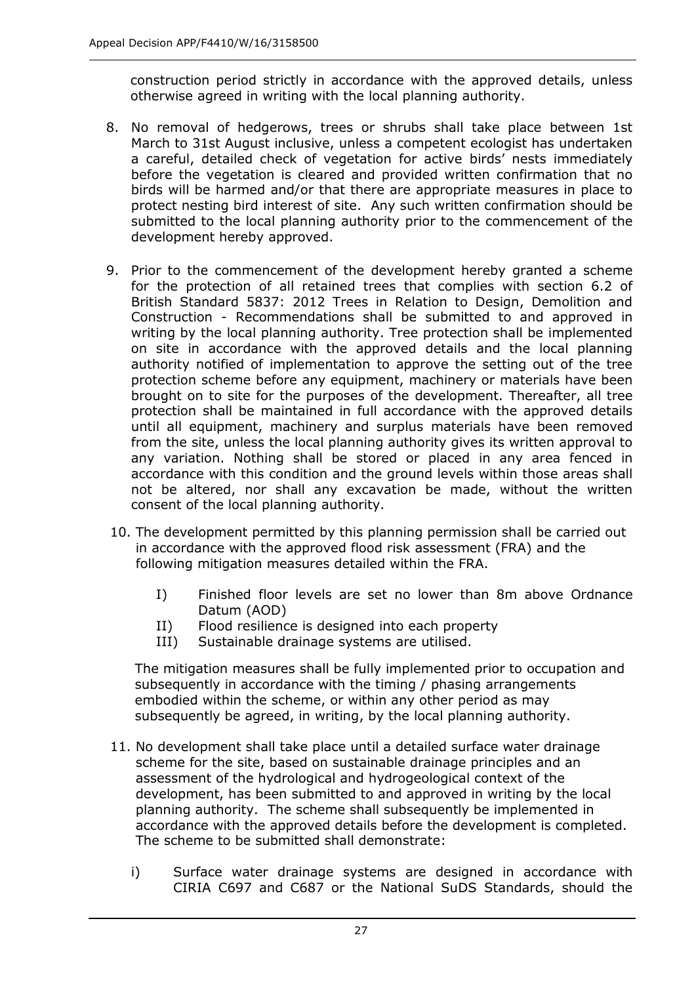construction period strictly in accordance with the approved details, unless otherwise agreed in writing with the local planning authority.

- 8. No removal of hedgerows, trees or shrubs shall take place between 1st March to 31st August inclusive, unless a competent ecologist has undertaken a careful, detailed check of vegetation for active birds' nests immediately before the vegetation is cleared and provided written confirmation that no birds will be harmed and/or that there are appropriate measures in place to protect nesting bird interest of site. Any such written confirmation should be submitted to the local planning authority prior to the commencement of the development hereby approved.
- 9. Prior to the commencement of the development hereby granted a scheme for the protection of all retained trees that complies with section 6.2 of British Standard 5837: 2012 Trees in Relation to Design, Demolition and Construction - Recommendations shall be submitted to and approved in writing by the local planning authority. Tree protection shall be implemented on site in accordance with the approved details and the local planning authority notified of implementation to approve the setting out of the tree protection scheme before any equipment, machinery or materials have been brought on to site for the purposes of the development. Thereafter, all tree protection shall be maintained in full accordance with the approved details until all equipment, machinery and surplus materials have been removed from the site, unless the local planning authority gives its written approval to any variation. Nothing shall be stored or placed in any area fenced in accordance with this condition and the ground levels within those areas shall not be altered, nor shall any excavation be made, without the written consent of the local planning authority.
- 10. The development permitted by this planning permission shall be carried out in accordance with the approved flood risk assessment (FRA) and the following mitigation measures detailed within the FRA.
	- I) Finished floor levels are set no lower than 8m above Ordnance Datum (AOD)
	- II) Flood resilience is designed into each property
	- III) Sustainable drainage systems are utilised.

The mitigation measures shall be fully implemented prior to occupation and subsequently in accordance with the timing / phasing arrangements embodied within the scheme, or within any other period as may subsequently be agreed, in writing, by the local planning authority.

- 11. No development shall take place until a detailed surface water drainage scheme for the site, based on sustainable drainage principles and an assessment of the hydrological and hydrogeological context of the development, has been submitted to and approved in writing by the local planning authority. The scheme shall subsequently be implemented in accordance with the approved details before the development is completed. The scheme to be submitted shall demonstrate:
	- i) Surface water drainage systems are designed in accordance with CIRIA C697 and C687 or the National SuDS Standards, should the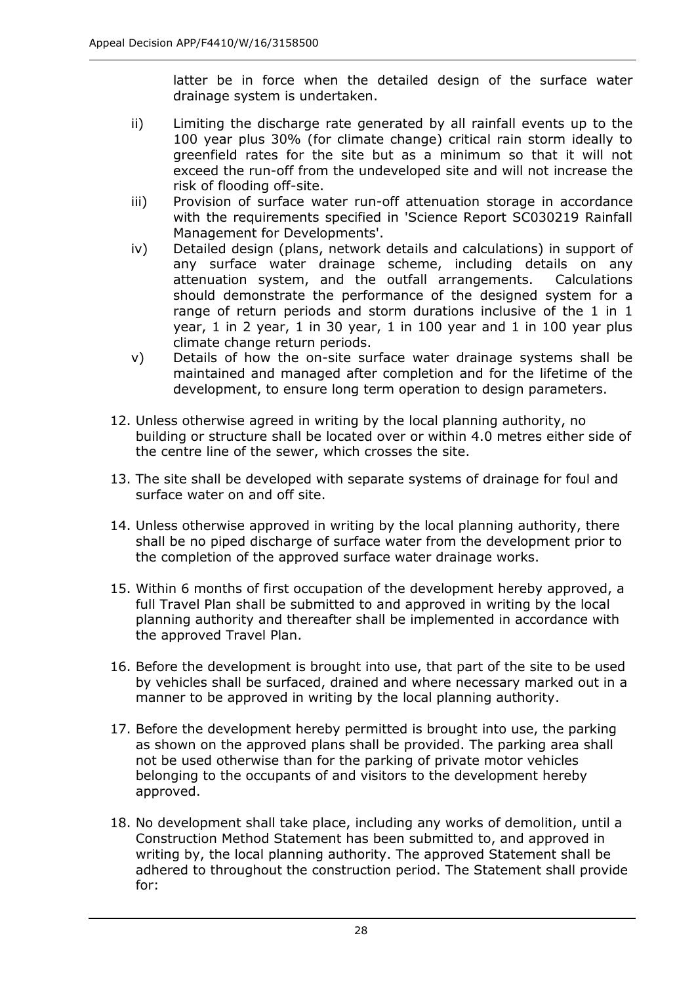latter be in force when the detailed design of the surface water drainage system is undertaken.

- ii) Limiting the discharge rate generated by all rainfall events up to the 100 year plus 30% (for climate change) critical rain storm ideally to greenfield rates for the site but as a minimum so that it will not exceed the run-off from the undeveloped site and will not increase the risk of flooding off-site.
- iii) Provision of surface water run-off attenuation storage in accordance with the requirements specified in 'Science Report SC030219 Rainfall Management for Developments'.
- iv) Detailed design (plans, network details and calculations) in support of any surface water drainage scheme, including details on any attenuation system, and the outfall arrangements. Calculations should demonstrate the performance of the designed system for a range of return periods and storm durations inclusive of the 1 in 1 year, 1 in 2 year, 1 in 30 year, 1 in 100 year and 1 in 100 year plus climate change return periods.
- v) Details of how the on-site surface water drainage systems shall be maintained and managed after completion and for the lifetime of the development, to ensure long term operation to design parameters.
- 12. Unless otherwise agreed in writing by the local planning authority, no building or structure shall be located over or within 4.0 metres either side of the centre line of the sewer, which crosses the site.
- 13. The site shall be developed with separate systems of drainage for foul and surface water on and off site.
- 14. Unless otherwise approved in writing by the local planning authority, there shall be no piped discharge of surface water from the development prior to the completion of the approved surface water drainage works.
- 15. Within 6 months of first occupation of the development hereby approved, a full Travel Plan shall be submitted to and approved in writing by the local planning authority and thereafter shall be implemented in accordance with the approved Travel Plan.
- 16. Before the development is brought into use, that part of the site to be used by vehicles shall be surfaced, drained and where necessary marked out in a manner to be approved in writing by the local planning authority.
- 17. Before the development hereby permitted is brought into use, the parking as shown on the approved plans shall be provided. The parking area shall not be used otherwise than for the parking of private motor vehicles belonging to the occupants of and visitors to the development hereby approved.
- 18. No development shall take place, including any works of demolition, until a Construction Method Statement has been submitted to, and approved in writing by, the local planning authority. The approved Statement shall be adhered to throughout the construction period. The Statement shall provide for: